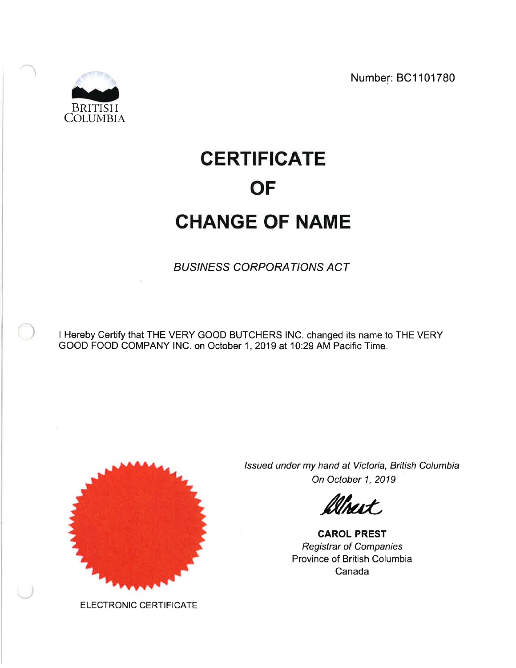Number: BC1101780



# **CERTIFICATE OF CHANGE OF NAME**

**BUSINESS CORPORATIONS ACT** 

I Hereby Certify that THE VERY GOOD BUTCHERS INC. changed its name to THE VERY GOOD FOOD COMPANY INC. on October 1, 2019 at 10:29 AM Pacific Time.



ELECTRONIC CERTIFICATE

Issued under my hand at Victoria, British Columbia On October 1, 2019

**Uheit** 

**CAROL PREST Registrar of Companies** Province of British Columbia Canada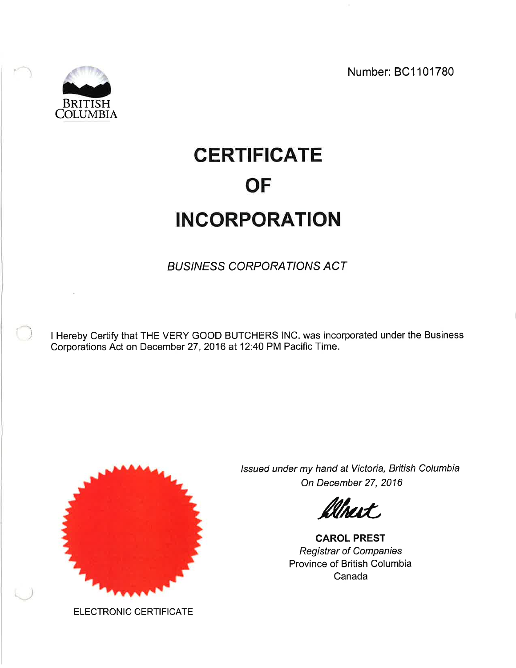Number: BC1101780



# **CERTIFICATE OF INCORPORATION**

**BUSINESS CORPORATIONS ACT** 

I Hereby Certify that THE VERY GOOD BUTCHERS INC. was incorporated under the Business Corporations Act on December 27, 2016 at 12:40 PM Pacific Time.



Issued under my hand at Victoria, British Columbia On December 27, 2016

Thart.

**CAROL PREST Registrar of Companies** Province of British Columbia Canada

ELECTRONIC CERTIFICATE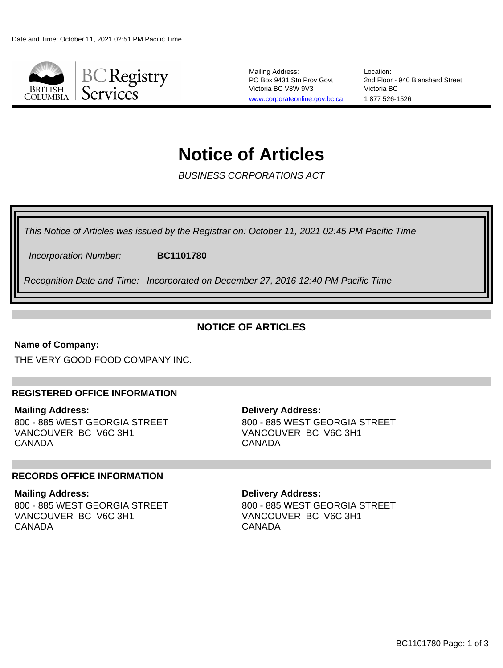

Mailing Address: PO Box 9431 Stn Prov Govt Victoria BC V8W 9V3 [www.corporateonline.gov.bc.ca](http://www.corporateonline.gov.bc.ca)

Location: 2nd Floor - 940 Blanshard Street Victoria BC 1 877 526-1526

# **Notice of Articles**

BUSINESS CORPORATIONS ACT

This Notice of Articles was issued by the Registrar on: October 11, 2021 02:45 PM Pacific Time

Incorporation Number: **BC1101780**

Recognition Date and Time: Incorporated on December 27, 2016 12:40 PM Pacific Time

# **NOTICE OF ARTICLES**

### **Name of Company:**

THE VERY GOOD FOOD COMPANY INC.

### **REGISTERED OFFICE INFORMATION**

**Mailing Address:** 800 - 885 WEST GEORGIA STREET VANCOUVER BC V6C 3H1 CANADA

#### **Delivery Address:** 800 - 885 WEST GEORGIA STREET VANCOUVER BC V6C 3H1 CANADA

### **RECORDS OFFICE INFORMATION**

#### **Mailing Address:**

800 - 885 WEST GEORGIA STREET VANCOUVER BC V6C 3H1 CANADA

#### **Delivery Address:**

800 - 885 WEST GEORGIA STREET VANCOUVER BC V6C 3H1 CANADA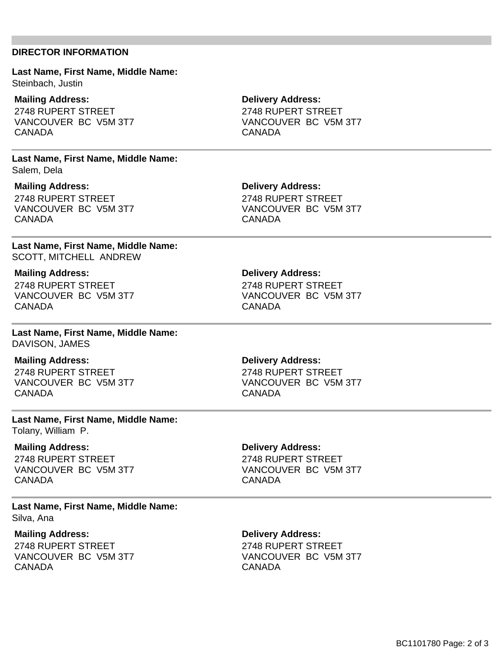#### **DIRECTOR INFORMATION**

**Last Name, First Name, Middle Name:** Steinbach, Justin

**Mailing Address:** 2748 RUPERT STREET VANCOUVER BC V5M 3T7 CANADA

**Last Name, First Name, Middle Name:** Salem, Dela

**Mailing Address:** 2748 RUPERT STREET VANCOUVER BC V5M 3T7 CANADA

**Last Name, First Name, Middle Name:** SCOTT, MITCHELL ANDREW

**Mailing Address:** 2748 RUPERT STREET VANCOUVER BC V5M 3T7 CANADA

**Last Name, First Name, Middle Name:** DAVISON, JAMES

#### **Mailing Address:**

2748 RUPERT STREET VANCOUVER BC V5M 3T7 CANADA

**Last Name, First Name, Middle Name:**

Tolany, William P.

#### **Mailing Address:**

2748 RUPERT STREET VANCOUVER BC V5M 3T7 CANADA

**Delivery Address:**

**Delivery Address:** 2748 RUPERT STREET VANCOUVER BC V5M 3T7

**CANADA** 

2748 RUPERT STREET VANCOUVER BC V5M 3T7 CANADA

**Last Name, First Name, Middle Name:** Silva, Ana

**Mailing Address:** 2748 RUPERT STREET VANCOUVER BC V5M 3T7 CANADA

**Delivery Address:**

2748 RUPERT STREET VANCOUVER BC V5M 3T7 CANADA

**Delivery Address:** 2748 RUPERT STREET VANCOUVER BC V5M 3T7

CANADA

**Delivery Address:** 2748 RUPERT STREET VANCOUVER BC V5M 3T7

**CANADA** 

**Delivery Address:** 2748 RUPERT STREET VANCOUVER BC V5M 3T7 CANADA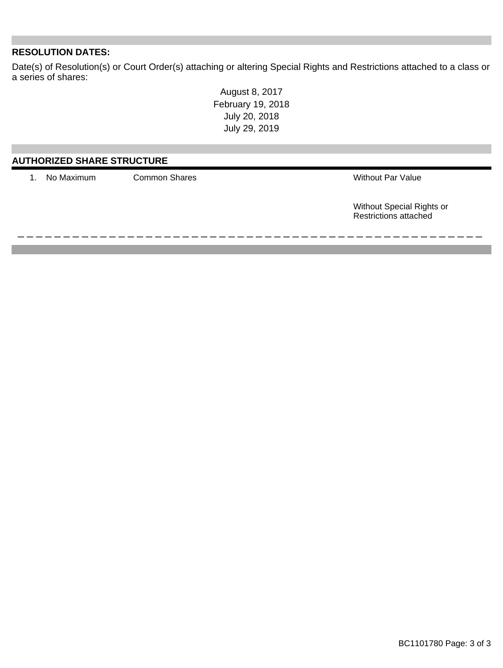### **RESOLUTION DATES:**

Date(s) of Resolution(s) or Court Order(s) attaching or altering Special Rights and Restrictions attached to a class or a series of shares:

> August 8, 2017 February 19, 2018 July 20, 2018 July 29, 2019

| <b>AUTHORIZED SHARE STRUCTURE</b> |                      |                                                           |  |
|-----------------------------------|----------------------|-----------------------------------------------------------|--|
| No Maximum                        | <b>Common Shares</b> | <b>Without Par Value</b>                                  |  |
|                                   |                      | Without Special Rights or<br><b>Restrictions attached</b> |  |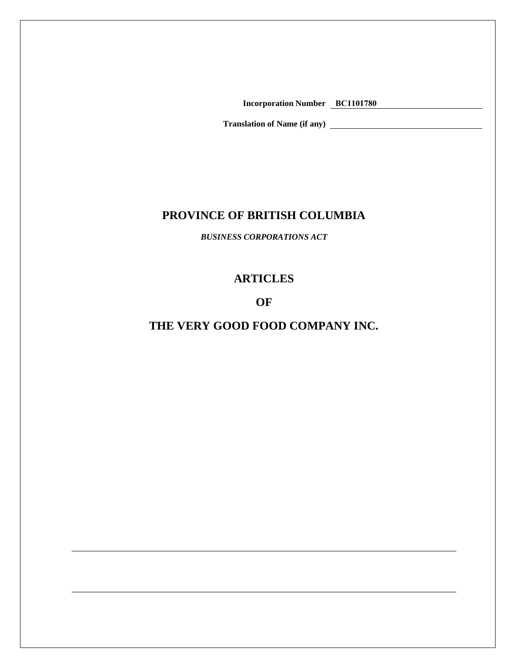**Incorporation Number BC1101780**

**Translation of Name (if any)** 

# **PROVINCE OF BRITISH COLUMBIA**

*BUSINESS CORPORATIONS ACT*

# **ARTICLES**

# **OF**

# **THE VERY GOOD FOOD COMPANY INC.**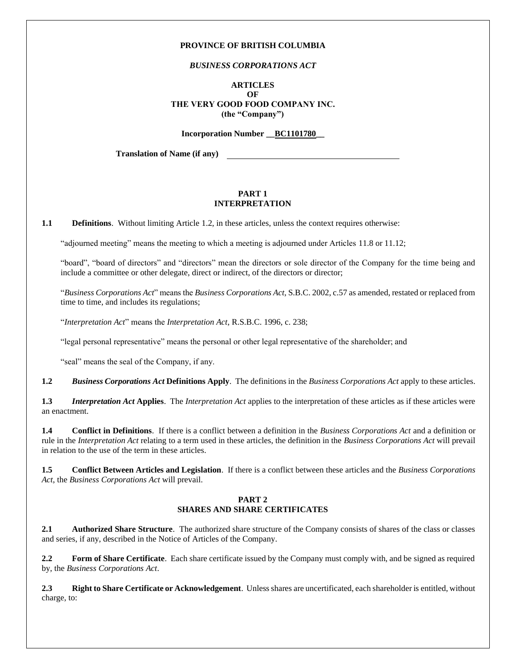#### **PROVINCE OF BRITISH COLUMBIA**

#### *BUSINESS CORPORATIONS ACT*

#### **ARTICLES OF THE VERY GOOD FOOD COMPANY INC. (the "Company")**

**Incorporation Number \_\_BC1101780\_\_**

**Translation of Name (if any)** 

#### **PART 1 INTERPRETATION**

<span id="page-6-2"></span><span id="page-6-1"></span>**1.1 Definitions**. Without limiting Article [1.2,](#page-6-0) in these articles, unless the context requires otherwise:

"adjourned meeting" means the meeting to which a meeting is adjourned under Articles [11.8](#page-14-0) or [11.12;](#page-14-1)

"board", "board of directors" and "directors" mean the directors or sole director of the Company for the time being and include a committee or other delegate, direct or indirect, of the directors or director;

"*Business Corporations Act*" means the *Business Corporations Act*, S.B.C. 2002, c.57 as amended, restated or replaced from time to time, and includes its regulations;

"*Interpretation Act*" means the *Interpretation Act*, R.S.B.C. 1996, c. 238;

"legal personal representative" means the personal or other legal representative of the shareholder; and

"seal" means the seal of the Company, if any.

<span id="page-6-3"></span><span id="page-6-0"></span>**1.2** *Business Corporations Act* **Definitions Apply**. The definitions in the *Business Corporations Act* apply to these articles.

**1.3** *Interpretation Act* **Applies**. The *Interpretation Act* applies to the interpretation of these articles as if these articles were an enactment.

<span id="page-6-4"></span>**1.4 Conflict in Definitions**. If there is a conflict between a definition in the *Business Corporations Act* and a definition or rule in the *Interpretation Act* relating to a term used in these articles, the definition in the *Business Corporations Act* will prevail in relation to the use of the term in these articles.

<span id="page-6-5"></span>**1.5 Conflict Between Articles and Legislation**. If there is a conflict between these articles and the *Business Corporations Act*, the *Business Corporations Act* will prevail.

#### **PART 2 SHARES AND SHARE CERTIFICATES**

<span id="page-6-7"></span><span id="page-6-6"></span>**2.1 Authorized Share Structure**. The authorized share structure of the Company consists of shares of the class or classes and series, if any, described in the Notice of Articles of the Company.

<span id="page-6-8"></span>**2.2 Form of Share Certificate**. Each share certificate issued by the Company must comply with, and be signed as required by, the *Business Corporations Act*.

<span id="page-6-9"></span>**2.3 Right to Share Certificate or Acknowledgement**. Unless shares are uncertificated, each shareholder is entitled, without charge, to: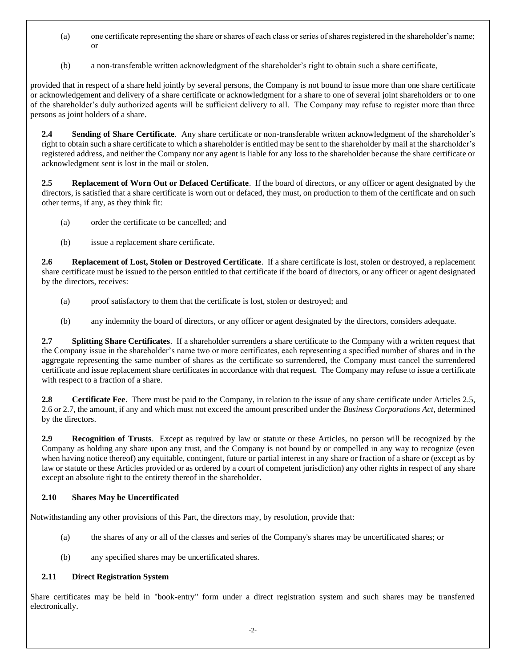- (a) one certificate representing the share or shares of each class or series of shares registered in the shareholder's name; or
- (b) a non-transferable written acknowledgment of the shareholder's right to obtain such a share certificate,

provided that in respect of a share held jointly by several persons, the Company is not bound to issue more than one share certificate or acknowledgement and delivery of a share certificate or acknowledgment for a share to one of several joint shareholders or to one of the shareholder's duly authorized agents will be sufficient delivery to all. The Company may refuse to register more than three persons as joint holders of a share.

<span id="page-7-3"></span>**2.4 Sending of Share Certificate**. Any share certificate or non-transferable written acknowledgment of the shareholder's right to obtain such a share certificate to which a shareholder is entitled may be sent to the shareholder by mail at the shareholder's registered address, and neither the Company nor any agent is liable for any loss to the shareholder because the share certificate or acknowledgment sent is lost in the mail or stolen.

<span id="page-7-0"></span>**2.5 Replacement of Worn Out or Defaced Certificate**. If the board of directors, or any officer or agent designated by the directors, is satisfied that a share certificate is worn out or defaced, they must, on production to them of the certificate and on such other terms, if any, as they think fit:

- (a) order the certificate to be cancelled; and
- (b) issue a replacement share certificate.

<span id="page-7-1"></span>**2.6 Replacement of Lost, Stolen or Destroyed Certificate**. If a share certificate is lost, stolen or destroyed, a replacement share certificate must be issued to the person entitled to that certificate if the board of directors, or any officer or agent designated by the directors, receives:

- (a) proof satisfactory to them that the certificate is lost, stolen or destroyed; and
- (b) any indemnity the board of directors, or any officer or agent designated by the directors, considers adequate.

<span id="page-7-2"></span>**2.7 Splitting Share Certificates**. If a shareholder surrenders a share certificate to the Company with a written request that the Company issue in the shareholder's name two or more certificates, each representing a specified number of shares and in the aggregate representing the same number of shares as the certificate so surrendered, the Company must cancel the surrendered certificate and issue replacement share certificates in accordance with that request. The Company may refuse to issue a certificate with respect to a fraction of a share.

<span id="page-7-4"></span>**2.8 Certificate Fee**. There must be paid to the Company, in relation to the issue of any share certificate under Articles [2.5,](#page-7-0) [2.6](#page-7-1) or [2.7,](#page-7-2) the amount, if any and which must not exceed the amount prescribed under the *Business Corporations Act*, determined by the directors.

<span id="page-7-5"></span>**2.9 Recognition of Trusts**. Except as required by law or statute or these Articles, no person will be recognized by the Company as holding any share upon any trust, and the Company is not bound by or compelled in any way to recognize (even when having notice thereof) any equitable, contingent, future or partial interest in any share or fraction of a share or (except as by law or statute or these Articles provided or as ordered by a court of competent jurisdiction) any other rights in respect of any share except an absolute right to the entirety thereof in the shareholder.

### <span id="page-7-6"></span>**2.10 Shares May be Uncertificated**

Notwithstanding any other provisions of this Part, the directors may, by resolution, provide that:

- (a) the shares of any or all of the classes and series of the Company's shares may be uncertificated shares; or
- (b) any specified shares may be uncertificated shares.

#### <span id="page-7-7"></span>**2.11 Direct Registration System**

Share certificates may be held in "book-entry" form under a direct registration system and such shares may be transferred electronically.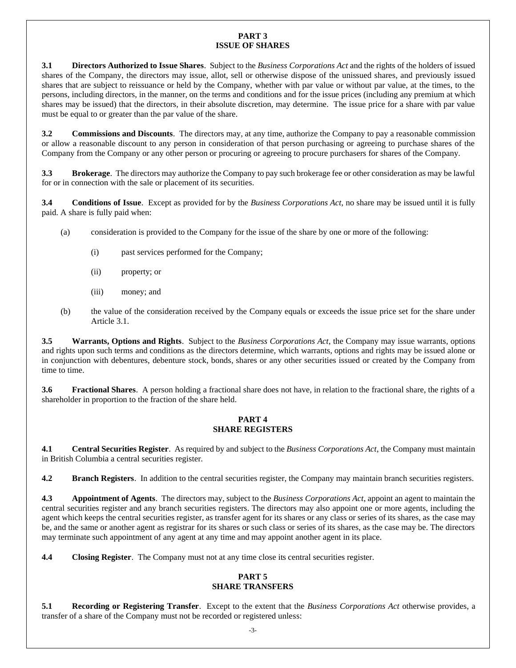#### **PART 3 ISSUE OF SHARES**

<span id="page-8-1"></span><span id="page-8-0"></span>**3.1 Directors Authorized to Issue Shares**. Subject to the *Business Corporations Act* and the rights of the holders of issued shares of the Company, the directors may issue, allot, sell or otherwise dispose of the unissued shares, and previously issued shares that are subject to reissuance or held by the Company, whether with par value or without par value, at the times, to the persons, including directors, in the manner, on the terms and conditions and for the issue prices (including any premium at which shares may be issued) that the directors, in their absolute discretion, may determine. The issue price for a share with par value must be equal to or greater than the par value of the share.

<span id="page-8-2"></span>**3.2 Commissions and Discounts**. The directors may, at any time, authorize the Company to pay a reasonable commission or allow a reasonable discount to any person in consideration of that person purchasing or agreeing to purchase shares of the Company from the Company or any other person or procuring or agreeing to procure purchasers for shares of the Company.

<span id="page-8-3"></span>**3.3 Brokerage**. The directors may authorize the Company to pay such brokerage fee or other consideration as may be lawful for or in connection with the sale or placement of its securities.

<span id="page-8-4"></span>**3.4 Conditions of Issue**. Except as provided for by the *Business Corporations Act*, no share may be issued until it is fully paid. A share is fully paid when:

- (a) consideration is provided to the Company for the issue of the share by one or more of the following:
	- (i) past services performed for the Company;
	- (ii) property; or
	- (iii) money; and
- (b) the value of the consideration received by the Company equals or exceeds the issue price set for the share under Article [3.1.](#page-8-0)

<span id="page-8-5"></span>**3.5 Warrants, Options and Rights**. Subject to the *Business Corporations Act*, the Company may issue warrants, options and rights upon such terms and conditions as the directors determine, which warrants, options and rights may be issued alone or in conjunction with debentures, debenture stock, bonds, shares or any other securities issued or created by the Company from time to time.

<span id="page-8-6"></span>**3.6 Fractional Shares**. A person holding a fractional share does not have, in relation to the fractional share, the rights of a shareholder in proportion to the fraction of the share held.

#### **PART 4 SHARE REGISTERS**

<span id="page-8-8"></span><span id="page-8-7"></span>**4.1 Central Securities Register**. As required by and subject to the *Business Corporations Act*, the Company must maintain in British Columbia a central securities register.

<span id="page-8-10"></span><span id="page-8-9"></span>**4.2 Branch Registers**. In addition to the central securities register, the Company may maintain branch securities registers.

**4.3 Appointment of Agents**. The directors may, subject to the *Business Corporations Act*, appoint an agent to maintain the central securities register and any branch securities registers. The directors may also appoint one or more agents, including the agent which keeps the central securities register, as transfer agent for its shares or any class or series of its shares, as the case may be, and the same or another agent as registrar for its shares or such class or series of its shares, as the case may be. The directors may terminate such appointment of any agent at any time and may appoint another agent in its place.

<span id="page-8-11"></span>**4.4 Closing Register**. The Company must not at any time close its central securities register.

#### **PART 5 SHARE TRANSFERS**

<span id="page-8-13"></span><span id="page-8-12"></span>**5.1 Recording or Registering Transfer**. Except to the extent that the *Business Corporations Act* otherwise provides, a transfer of a share of the Company must not be recorded or registered unless: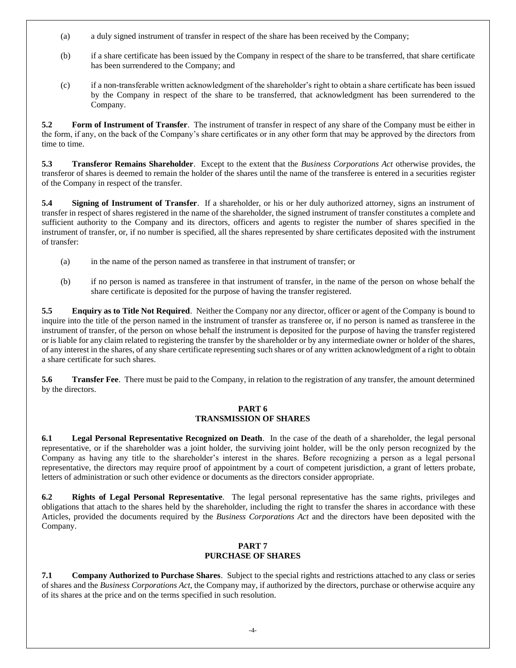- (a) a duly signed instrument of transfer in respect of the share has been received by the Company;
- (b) if a share certificate has been issued by the Company in respect of the share to be transferred, that share certificate has been surrendered to the Company; and
- (c) if a non-transferable written acknowledgment of the shareholder's right to obtain a share certificate has been issued by the Company in respect of the share to be transferred, that acknowledgment has been surrendered to the Company.

<span id="page-9-0"></span>**5.2 Form of Instrument of Transfer**. The instrument of transfer in respect of any share of the Company must be either in the form, if any, on the back of the Company's share certificates or in any other form that may be approved by the directors from time to time.

<span id="page-9-1"></span>**5.3 Transferor Remains Shareholder**. Except to the extent that the *Business Corporations Act* otherwise provides, the transferor of shares is deemed to remain the holder of the shares until the name of the transferee is entered in a securities register of the Company in respect of the transfer.

<span id="page-9-2"></span>**5.4 Signing of Instrument of Transfer**. If a shareholder, or his or her duly authorized attorney, signs an instrument of transfer in respect of shares registered in the name of the shareholder, the signed instrument of transfer constitutes a complete and sufficient authority to the Company and its directors, officers and agents to register the number of shares specified in the instrument of transfer, or, if no number is specified, all the shares represented by share certificates deposited with the instrument of transfer:

- (a) in the name of the person named as transferee in that instrument of transfer; or
- (b) if no person is named as transferee in that instrument of transfer, in the name of the person on whose behalf the share certificate is deposited for the purpose of having the transfer registered.

<span id="page-9-3"></span>**5.5 Enquiry as to Title Not Required**. Neither the Company nor any director, officer or agent of the Company is bound to inquire into the title of the person named in the instrument of transfer as transferee or, if no person is named as transferee in the instrument of transfer, of the person on whose behalf the instrument is deposited for the purpose of having the transfer registered or is liable for any claim related to registering the transfer by the shareholder or by any intermediate owner or holder of the shares, of any interest in the shares, of any share certificate representing such shares or of any written acknowledgment of a right to obtain a share certificate for such shares.

<span id="page-9-4"></span>**5.6 Transfer Fee**. There must be paid to the Company, in relation to the registration of any transfer, the amount determined by the directors.

#### **PART 6 TRANSMISSION OF SHARES**

<span id="page-9-6"></span><span id="page-9-5"></span>**6.1 Legal Personal Representative Recognized on Death**. In the case of the death of a shareholder, the legal personal representative, or if the shareholder was a joint holder, the surviving joint holder, will be the only person recognized by the Company as having any title to the shareholder's interest in the shares. Before recognizing a person as a legal personal representative, the directors may require proof of appointment by a court of competent jurisdiction, a grant of letters probate, letters of administration or such other evidence or documents as the directors consider appropriate.

<span id="page-9-7"></span>**6.2 Rights of Legal Personal Representative**. The legal personal representative has the same rights, privileges and obligations that attach to the shares held by the shareholder, including the right to transfer the shares in accordance with these Articles, provided the documents required by the *Business Corporations Act* and the directors have been deposited with the Company.

#### **PART 7 PURCHASE OF SHARES**

<span id="page-9-9"></span><span id="page-9-8"></span>**7.1 Company Authorized to Purchase Shares**. Subject to the special rights and restrictions attached to any class or series of shares and the *Business Corporations Act*, the Company may, if authorized by the directors, purchase or otherwise acquire any of its shares at the price and on the terms specified in such resolution.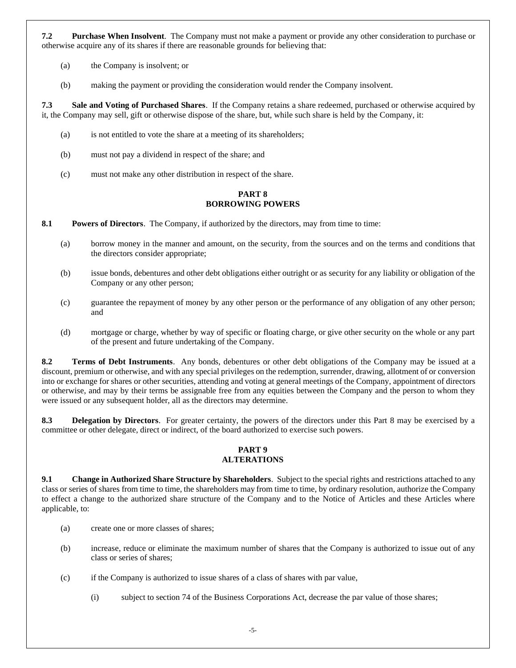<span id="page-10-0"></span>**7.2 Purchase When Insolvent**. The Company must not make a payment or provide any other consideration to purchase or otherwise acquire any of its shares if there are reasonable grounds for believing that:

- (a) the Company is insolvent; or
- (b) making the payment or providing the consideration would render the Company insolvent.

<span id="page-10-1"></span>**7.3 Sale and Voting of Purchased Shares**. If the Company retains a share redeemed, purchased or otherwise acquired by it, the Company may sell, gift or otherwise dispose of the share, but, while such share is held by the Company, it:

- (a) is not entitled to vote the share at a meeting of its shareholders;
- (b) must not pay a dividend in respect of the share; and
- (c) must not make any other distribution in respect of the share.

#### **PART 8 BORROWING POWERS**

<span id="page-10-3"></span><span id="page-10-2"></span>**8.1 Powers of Directors**. The Company, if authorized by the directors, may from time to time:

- (a) borrow money in the manner and amount, on the security, from the sources and on the terms and conditions that the directors consider appropriate;
- (b) issue bonds, debentures and other debt obligations either outright or as security for any liability or obligation of the Company or any other person;
- (c) guarantee the repayment of money by any other person or the performance of any obligation of any other person; and
- (d) mortgage or charge, whether by way of specific or floating charge, or give other security on the whole or any part of the present and future undertaking of the Company.

<span id="page-10-4"></span>**8.2 Terms of Debt Instruments**. Any bonds, debentures or other debt obligations of the Company may be issued at a discount, premium or otherwise, and with any special privileges on the redemption, surrender, drawing, allotment of or conversion into or exchange for shares or other securities, attending and voting at general meetings of the Company, appointment of directors or otherwise, and may by their terms be assignable free from any equities between the Company and the person to whom they were issued or any subsequent holder, all as the directors may determine.

<span id="page-10-5"></span>**8.3 Delegation by Directors**. For greater certainty, the powers of the directors under this Part 8 may be exercised by a committee or other delegate, direct or indirect, of the board authorized to exercise such powers.

#### **PART 9 ALTERATIONS**

<span id="page-10-7"></span><span id="page-10-6"></span>**9.1 Change in Authorized Share Structure by Shareholders**. Subject to the special rights and restrictions attached to any class or series of shares from time to time, the shareholders may from time to time, by ordinary resolution, authorize the Company to effect a change to the authorized share structure of the Company and to the Notice of Articles and these Articles where applicable, to:

- (a) create one or more classes of shares;
- (b) increase, reduce or eliminate the maximum number of shares that the Company is authorized to issue out of any class or series of shares;
- (c) if the Company is authorized to issue shares of a class of shares with par value,
	- (i) subject to section 74 of the Business Corporations Act, decrease the par value of those shares;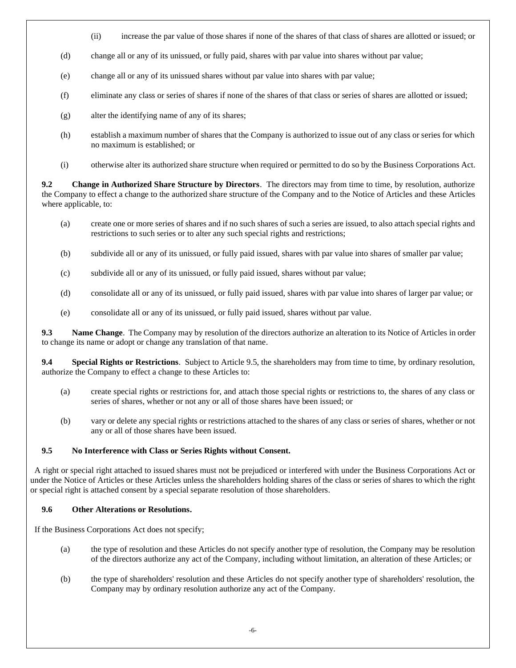- (ii) increase the par value of those shares if none of the shares of that class of shares are allotted or issued; or
- (d) change all or any of its unissued, or fully paid, shares with par value into shares without par value;
- (e) change all or any of its unissued shares without par value into shares with par value;
- (f) eliminate any class or series of shares if none of the shares of that class or series of shares are allotted or issued;
- (g) alter the identifying name of any of its shares;
- (h) establish a maximum number of shares that the Company is authorized to issue out of any class or series for which no maximum is established; or
- (i) otherwise alter its authorized share structure when required or permitted to do so by the Business Corporations Act.

<span id="page-11-0"></span>**9.2 Change in Authorized Share Structure by Directors**. The directors may from time to time, by resolution, authorize the Company to effect a change to the authorized share structure of the Company and to the Notice of Articles and these Articles where applicable, to:

- (a) create one or more series of shares and if no such shares of such a series are issued, to also attach special rights and restrictions to such series or to alter any such special rights and restrictions;
- (b) subdivide all or any of its unissued, or fully paid issued, shares with par value into shares of smaller par value;
- (c) subdivide all or any of its unissued, or fully paid issued, shares without par value;
- (d) consolidate all or any of its unissued, or fully paid issued, shares with par value into shares of larger par value; or
- (e) consolidate all or any of its unissued, or fully paid issued, shares without par value.

<span id="page-11-1"></span>**9.3 Name Change**. The Company may by resolution of the directors authorize an alteration to its Notice of Articles in order to change its name or adopt or change any translation of that name.

<span id="page-11-2"></span>**9.4 Special Rights or Restrictions**. Subject to Article 9.5, the shareholders may from time to time, by ordinary resolution, authorize the Company to effect a change to these Articles to:

- (a) create special rights or restrictions for, and attach those special rights or restrictions to, the shares of any class or series of shares, whether or not any or all of those shares have been issued; or
- (b) vary or delete any special rights or restrictions attached to the shares of any class or series of shares, whether or not any or all of those shares have been issued.

#### <span id="page-11-3"></span>**9.5 No Interference with Class or Series Rights without Consent.**

 A right or special right attached to issued shares must not be prejudiced or interfered with under the Business Corporations Act or under the Notice of Articles or these Articles unless the shareholders holding shares of the class or series of shares to which the right or special right is attached consent by a special separate resolution of those shareholders.

#### <span id="page-11-4"></span>**9.6 Other Alterations or Resolutions.**

If the Business Corporations Act does not specify;

- (a) the type of resolution and these Articles do not specify another type of resolution, the Company may be resolution of the directors authorize any act of the Company, including without limitation, an alteration of these Articles; or
- (b) the type of shareholders' resolution and these Articles do not specify another type of shareholders' resolution, the Company may by ordinary resolution authorize any act of the Company.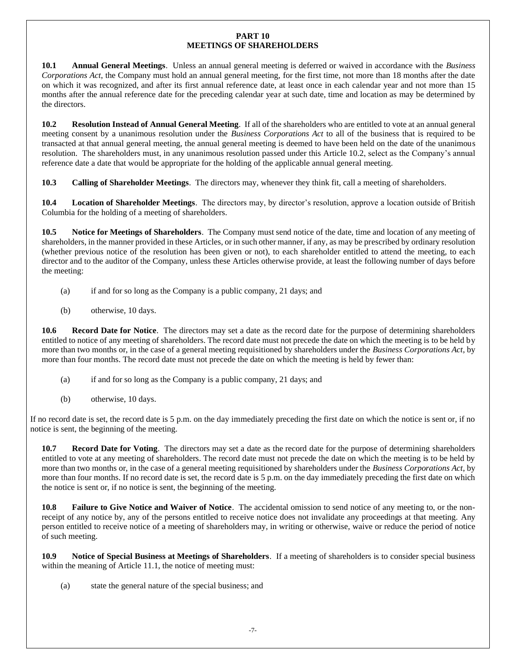#### **PART 10 MEETINGS OF SHAREHOLDERS**

<span id="page-12-2"></span><span id="page-12-1"></span>**10.1 Annual General Meetings**. Unless an annual general meeting is deferred or waived in accordance with the *Business Corporations Act*, the Company must hold an annual general meeting, for the first time, not more than 18 months after the date on which it was recognized, and after its first annual reference date, at least once in each calendar year and not more than 15 months after the annual reference date for the preceding calendar year at such date, time and location as may be determined by the directors.

<span id="page-12-0"></span>**10.2 Resolution Instead of Annual General Meeting**. If all of the shareholders who are entitled to vote at an annual general meeting consent by a unanimous resolution under the *Business Corporations Act* to all of the business that is required to be transacted at that annual general meeting, the annual general meeting is deemed to have been held on the date of the unanimous resolution. The shareholders must, in any unanimous resolution passed under this Article [10.2,](#page-12-0) select as the Company's annual reference date a date that would be appropriate for the holding of the applicable annual general meeting.

<span id="page-12-3"></span>**10.3 Calling of Shareholder Meetings**. The directors may, whenever they think fit, call a meeting of shareholders.

<span id="page-12-4"></span>**10.4 Location of Shareholder Meetings**. The directors may, by director's resolution, approve a location outside of British Columbia for the holding of a meeting of shareholders.

<span id="page-12-5"></span>**10.5 Notice for Meetings of Shareholders**. The Company must send notice of the date, time and location of any meeting of shareholders, in the manner provided in these Articles, or in such other manner, if any, as may be prescribed by ordinary resolution (whether previous notice of the resolution has been given or not), to each shareholder entitled to attend the meeting, to each director and to the auditor of the Company, unless these Articles otherwise provide, at least the following number of days before the meeting:

- (a) if and for so long as the Company is a public company, 21 days; and
- (b) otherwise, 10 days.

<span id="page-12-6"></span>**10.6 Record Date for Notice**. The directors may set a date as the record date for the purpose of determining shareholders entitled to notice of any meeting of shareholders. The record date must not precede the date on which the meeting is to be held by more than two months or, in the case of a general meeting requisitioned by shareholders under the *Business Corporations Act*, by more than four months. The record date must not precede the date on which the meeting is held by fewer than:

- (a) if and for so long as the Company is a public company, 21 days; and
- (b) otherwise, 10 days.

If no record date is set, the record date is 5 p.m. on the day immediately preceding the first date on which the notice is sent or, if no notice is sent, the beginning of the meeting.

<span id="page-12-7"></span>**10.7 Record Date for Voting**. The directors may set a date as the record date for the purpose of determining shareholders entitled to vote at any meeting of shareholders. The record date must not precede the date on which the meeting is to be held by more than two months or, in the case of a general meeting requisitioned by shareholders under the *Business Corporations Act*, by more than four months. If no record date is set, the record date is 5 p.m. on the day immediately preceding the first date on which the notice is sent or, if no notice is sent, the beginning of the meeting.

<span id="page-12-8"></span>**10.8 Failure to Give Notice and Waiver of Notice**. The accidental omission to send notice of any meeting to, or the nonreceipt of any notice by, any of the persons entitled to receive notice does not invalidate any proceedings at that meeting. Any person entitled to receive notice of a meeting of shareholders may, in writing or otherwise, waive or reduce the period of notice of such meeting.

<span id="page-12-9"></span>**10.9 Notice of Special Business at Meetings of Shareholders**. If a meeting of shareholders is to consider special business within the meaning of Article [11.1,](#page-13-0) the notice of meeting must:

(a) state the general nature of the special business; and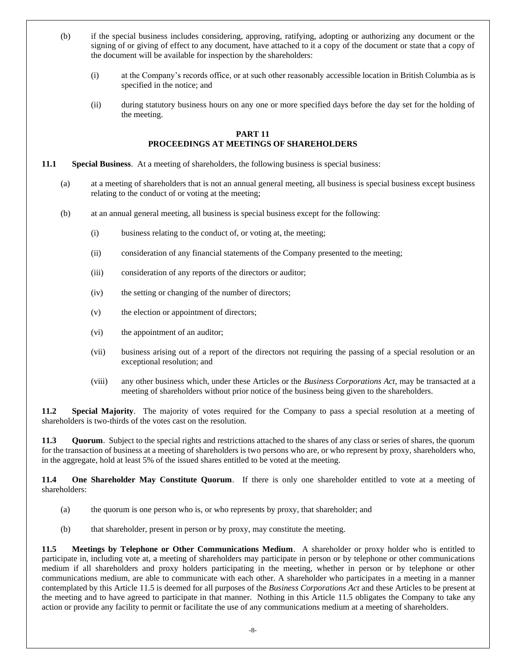- (b) if the special business includes considering, approving, ratifying, adopting or authorizing any document or the signing of or giving of effect to any document, have attached to it a copy of the document or state that a copy of the document will be available for inspection by the shareholders:
	- (i) at the Company's records office, or at such other reasonably accessible location in British Columbia as is specified in the notice; and
	- (ii) during statutory business hours on any one or more specified days before the day set for the holding of the meeting.

#### **PART 11 PROCEEDINGS AT MEETINGS OF SHAREHOLDERS**

- <span id="page-13-2"></span><span id="page-13-0"></span>**11.1 Special Business**. At a meeting of shareholders, the following business is special business:
	- (a) at a meeting of shareholders that is not an annual general meeting, all business is special business except business relating to the conduct of or voting at the meeting;
	- (b) at an annual general meeting, all business is special business except for the following:
		- (i) business relating to the conduct of, or voting at, the meeting;
		- (ii) consideration of any financial statements of the Company presented to the meeting;
		- (iii) consideration of any reports of the directors or auditor;
		- (iv) the setting or changing of the number of directors;
		- (v) the election or appointment of directors;
		- (vi) the appointment of an auditor;
		- (vii) business arising out of a report of the directors not requiring the passing of a special resolution or an exceptional resolution; and
		- (viii) any other business which, under these Articles or the *Business Corporations Act*, may be transacted at a meeting of shareholders without prior notice of the business being given to the shareholders.

<span id="page-13-3"></span>**11.2 Special Majority**. The majority of votes required for the Company to pass a special resolution at a meeting of shareholders is two-thirds of the votes cast on the resolution.

<span id="page-13-4"></span>**11.3 Quorum**. Subject to the special rights and restrictions attached to the shares of any class or series of shares, the quorum for the transaction of business at a meeting of shareholders is two persons who are, or who represent by proxy, shareholders who, in the aggregate, hold at least 5% of the issued shares entitled to be voted at the meeting.

<span id="page-13-5"></span>**11.4 One Shareholder May Constitute Quorum**. If there is only one shareholder entitled to vote at a meeting of shareholders:

- (a) the quorum is one person who is, or who represents by proxy, that shareholder; and
- (b) that shareholder, present in person or by proxy, may constitute the meeting.

<span id="page-13-1"></span>**11.5 Meetings by Telephone or Other Communications Medium**. A shareholder or proxy holder who is entitled to participate in, including vote at, a meeting of shareholders may participate in person or by telephone or other communications medium if all shareholders and proxy holders participating in the meeting, whether in person or by telephone or other communications medium, are able to communicate with each other. A shareholder who participates in a meeting in a manner contemplated by this Articl[e 11.5](#page-13-1) is deemed for all purposes of the *Business Corporations Act* and these Articles to be present at the meeting and to have agreed to participate in that manner. Nothing in this Article [11.5](#page-13-1) obligates the Company to take any action or provide any facility to permit or facilitate the use of any communications medium at a meeting of shareholders.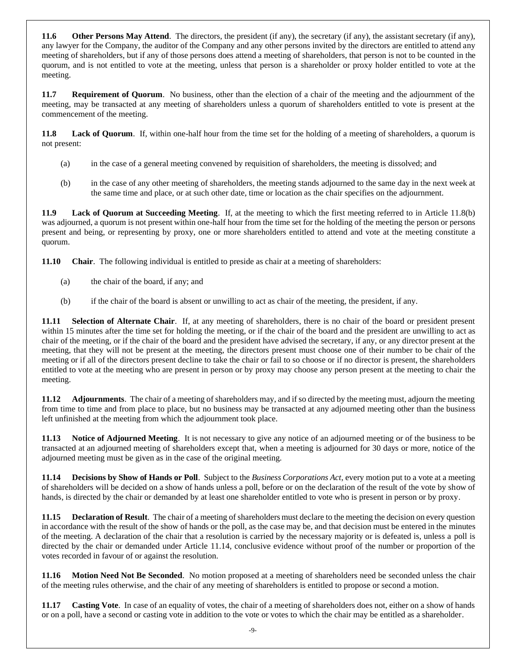<span id="page-14-4"></span>**11.6 Other Persons May Attend**. The directors, the president (if any), the secretary (if any), the assistant secretary (if any), any lawyer for the Company, the auditor of the Company and any other persons invited by the directors are entitled to attend any meeting of shareholders, but if any of those persons does attend a meeting of shareholders, that person is not to be counted in the quorum, and is not entitled to vote at the meeting, unless that person is a shareholder or proxy holder entitled to vote at the meeting.

<span id="page-14-5"></span>**11.7 Requirement of Quorum**. No business, other than the election of a chair of the meeting and the adjournment of the meeting, may be transacted at any meeting of shareholders unless a quorum of shareholders entitled to vote is present at the commencement of the meeting.

<span id="page-14-0"></span>**11.8 Lack of Quorum**. If, within one-half hour from the time set for the holding of a meeting of shareholders, a quorum is not present:

- <span id="page-14-2"></span>(a) in the case of a general meeting convened by requisition of shareholders, the meeting is dissolved; and
- (b) in the case of any other meeting of shareholders, the meeting stands adjourned to the same day in the next week at the same time and place, or at such other date, time or location as the chair specifies on the adjournment.

<span id="page-14-6"></span>**11.9 Lack of Quorum at Succeeding Meeting**. If, at the meeting to which the first meeting referred to in Article [11.8\(b\)](#page-14-2) was adjourned, a quorum is not present within one-half hour from the time set for the holding of the meeting the person or persons present and being, or representing by proxy, one or more shareholders entitled to attend and vote at the meeting constitute a quorum.

<span id="page-14-7"></span>**11.10 Chair**. The following individual is entitled to preside as chair at a meeting of shareholders:

- (a) the chair of the board, if any; and
- (b) if the chair of the board is absent or unwilling to act as chair of the meeting, the president, if any.

<span id="page-14-8"></span>**11.11 Selection of Alternate Chair**. If, at any meeting of shareholders, there is no chair of the board or president present within 15 minutes after the time set for holding the meeting, or if the chair of the board and the president are unwilling to act as chair of the meeting, or if the chair of the board and the president have advised the secretary, if any, or any director present at the meeting, that they will not be present at the meeting, the directors present must choose one of their number to be chair of the meeting or if all of the directors present decline to take the chair or fail to so choose or if no director is present, the shareholders entitled to vote at the meeting who are present in person or by proxy may choose any person present at the meeting to chair the meeting.

<span id="page-14-1"></span>**11.12 Adjournments**. The chair of a meeting of shareholders may, and if so directed by the meeting must, adjourn the meeting from time to time and from place to place, but no business may be transacted at any adjourned meeting other than the business left unfinished at the meeting from which the adjournment took place.

<span id="page-14-9"></span>**11.13 Notice of Adjourned Meeting**. It is not necessary to give any notice of an adjourned meeting or of the business to be transacted at an adjourned meeting of shareholders except that, when a meeting is adjourned for 30 days or more, notice of the adjourned meeting must be given as in the case of the original meeting.

<span id="page-14-3"></span>**11.14 Decisions by Show of Hands or Poll**. Subject to the *Business Corporations Act*, every motion put to a vote at a meeting of shareholders will be decided on a show of hands unless a poll, before or on the declaration of the result of the vote by show of hands, is directed by the chair or demanded by at least one shareholder entitled to vote who is present in person or by proxy.

<span id="page-14-10"></span>**11.15 Declaration of Result**. The chair of a meeting of shareholders must declare to the meeting the decision on every question in accordance with the result of the show of hands or the poll, as the case may be, and that decision must be entered in the minutes of the meeting. A declaration of the chair that a resolution is carried by the necessary majority or is defeated is, unless a poll is directed by the chair or demanded under Article [11.14,](#page-14-3) conclusive evidence without proof of the number or proportion of the votes recorded in favour of or against the resolution.

<span id="page-14-11"></span>**11.16 Motion Need Not Be Seconded**. No motion proposed at a meeting of shareholders need be seconded unless the chair of the meeting rules otherwise, and the chair of any meeting of shareholders is entitled to propose or second a motion.

<span id="page-14-12"></span>**11.17 Casting Vote**. In case of an equality of votes, the chair of a meeting of shareholders does not, either on a show of hands or on a poll, have a second or casting vote in addition to the vote or votes to which the chair may be entitled as a shareholder.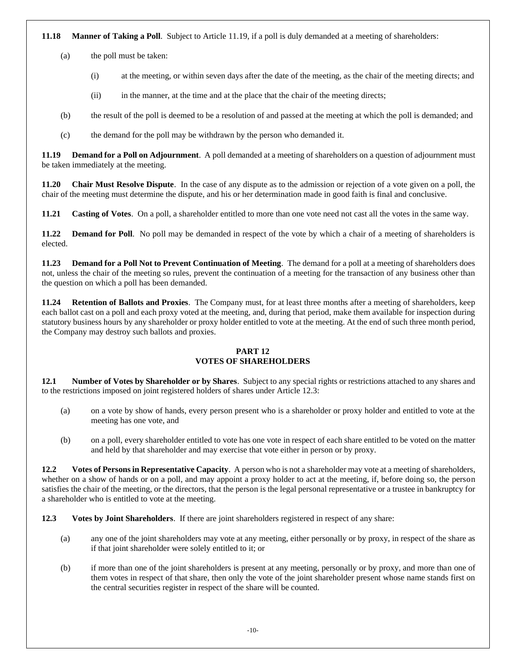<span id="page-15-2"></span>**11.18 Manner of Taking a Poll**. Subject to Article [11.19,](#page-15-0) if a poll is duly demanded at a meeting of shareholders:

(a) the poll must be taken:

- (i) at the meeting, or within seven days after the date of the meeting, as the chair of the meeting directs; and
- (ii) in the manner, at the time and at the place that the chair of the meeting directs;
- (b) the result of the poll is deemed to be a resolution of and passed at the meeting at which the poll is demanded; and
- (c) the demand for the poll may be withdrawn by the person who demanded it.

<span id="page-15-0"></span>**11.19 Demand for a Poll on Adjournment**. A poll demanded at a meeting of shareholders on a question of adjournment must be taken immediately at the meeting.

<span id="page-15-3"></span>**11.20 Chair Must Resolve Dispute**. In the case of any dispute as to the admission or rejection of a vote given on a poll, the chair of the meeting must determine the dispute, and his or her determination made in good faith is final and conclusive.

<span id="page-15-5"></span><span id="page-15-4"></span>**11.21 Casting of Votes**. On a poll, a shareholder entitled to more than one vote need not cast all the votes in the same way.

**11.22 Demand for Poll**. No poll may be demanded in respect of the vote by which a chair of a meeting of shareholders is elected.

<span id="page-15-6"></span>**11.23 Demand for a Poll Not to Prevent Continuation of Meeting**. The demand for a poll at a meeting of shareholders does not, unless the chair of the meeting so rules, prevent the continuation of a meeting for the transaction of any business other than the question on which a poll has been demanded.

<span id="page-15-7"></span>**11.24 Retention of Ballots and Proxies**. The Company must, for at least three months after a meeting of shareholders, keep each ballot cast on a poll and each proxy voted at the meeting, and, during that period, make them available for inspection during statutory business hours by any shareholder or proxy holder entitled to vote at the meeting. At the end of such three month period, the Company may destroy such ballots and proxies.

#### **PART 12 VOTES OF SHAREHOLDERS**

<span id="page-15-9"></span><span id="page-15-8"></span>**12.1 Number of Votes by Shareholder or by Shares**. Subject to any special rights or restrictions attached to any shares and to the restrictions imposed on joint registered holders of shares under Article [12.3:](#page-15-1)

- (a) on a vote by show of hands, every person present who is a shareholder or proxy holder and entitled to vote at the meeting has one vote, and
- (b) on a poll, every shareholder entitled to vote has one vote in respect of each share entitled to be voted on the matter and held by that shareholder and may exercise that vote either in person or by proxy.

<span id="page-15-10"></span>**12.2 Votes of Persons in Representative Capacity**. A person who is not a shareholder may vote at a meeting of shareholders, whether on a show of hands or on a poll, and may appoint a proxy holder to act at the meeting, if, before doing so, the person satisfies the chair of the meeting, or the directors, that the person is the legal personal representative or a trustee in bankruptcy for a shareholder who is entitled to vote at the meeting.

<span id="page-15-1"></span>**12.3 Votes by Joint Shareholders**. If there are joint shareholders registered in respect of any share:

- (a) any one of the joint shareholders may vote at any meeting, either personally or by proxy, in respect of the share as if that joint shareholder were solely entitled to it; or
- (b) if more than one of the joint shareholders is present at any meeting, personally or by proxy, and more than one of them votes in respect of that share, then only the vote of the joint shareholder present whose name stands first on the central securities register in respect of the share will be counted.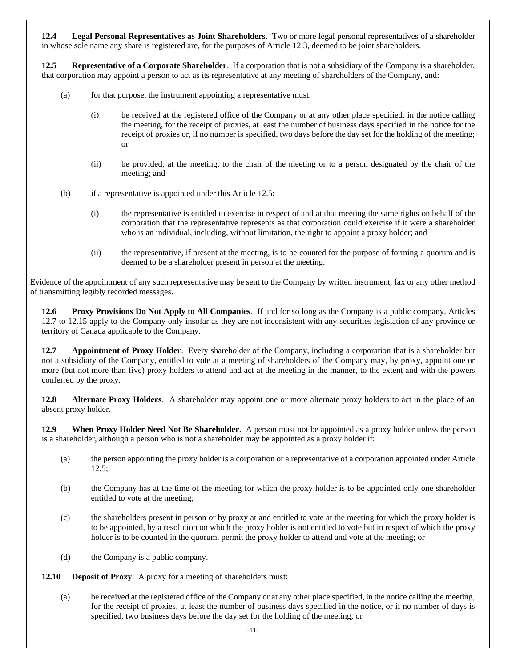<span id="page-16-2"></span>**12.4 Legal Personal Representatives as Joint Shareholders**. Two or more legal personal representatives of a shareholder in whose sole name any share is registered are, for the purposes of Article [12.3,](#page-15-1) deemed to be joint shareholders.

<span id="page-16-0"></span>**12.5 Representative of a Corporate Shareholder**. If a corporation that is not a subsidiary of the Company is a shareholder, that corporation may appoint a person to act as its representative at any meeting of shareholders of the Company, and:

- (a) for that purpose, the instrument appointing a representative must:
	- (i) be received at the registered office of the Company or at any other place specified, in the notice calling the meeting, for the receipt of proxies, at least the number of business days specified in the notice for the receipt of proxies or, if no number is specified, two days before the day set for the holding of the meeting; or
	- (ii) be provided, at the meeting, to the chair of the meeting or to a person designated by the chair of the meeting; and
- (b) if a representative is appointed under this Articl[e 12.5:](#page-16-0)
	- (i) the representative is entitled to exercise in respect of and at that meeting the same rights on behalf of the corporation that the representative represents as that corporation could exercise if it were a shareholder who is an individual, including, without limitation, the right to appoint a proxy holder; and
	- (ii) the representative, if present at the meeting, is to be counted for the purpose of forming a quorum and is deemed to be a shareholder present in person at the meeting.

Evidence of the appointment of any such representative may be sent to the Company by written instrument, fax or any other method of transmitting legibly recorded messages.

**12.6 Proxy Provisions Do Not Apply to All Companies**. If and for so long as the Company is a public company, Articles [12.7](#page-16-1) to [12.15](#page-17-0) apply to the Company only insofar as they are not inconsistent with any securities legislation of any province or territory of Canada applicable to the Company.

<span id="page-16-1"></span>**12.7 Appointment of Proxy Holder**. Every shareholder of the Company, including a corporation that is a shareholder but not a subsidiary of the Company, entitled to vote at a meeting of shareholders of the Company may, by proxy, appoint one or more (but not more than five) proxy holders to attend and act at the meeting in the manner, to the extent and with the powers conferred by the proxy.

**12.8 Alternate Proxy Holders**. A shareholder may appoint one or more alternate proxy holders to act in the place of an absent proxy holder.

**12.9 When Proxy Holder Need Not Be Shareholder**. A person must not be appointed as a proxy holder unless the person is a shareholder, although a person who is not a shareholder may be appointed as a proxy holder if:

- (a) the person appointing the proxy holder is a corporation or a representative of a corporation appointed under Article [12.5;](#page-16-0)
- (b) the Company has at the time of the meeting for which the proxy holder is to be appointed only one shareholder entitled to vote at the meeting;
- (c) the shareholders present in person or by proxy at and entitled to vote at the meeting for which the proxy holder is to be appointed, by a resolution on which the proxy holder is not entitled to vote but in respect of which the proxy holder is to be counted in the quorum, permit the proxy holder to attend and vote at the meeting; or
- (d) the Company is a public company.

**12.10 Deposit of Proxy**. A proxy for a meeting of shareholders must:

(a) be received at the registered office of the Company or at any other place specified, in the notice calling the meeting, for the receipt of proxies, at least the number of business days specified in the notice, or if no number of days is specified, two business days before the day set for the holding of the meeting; or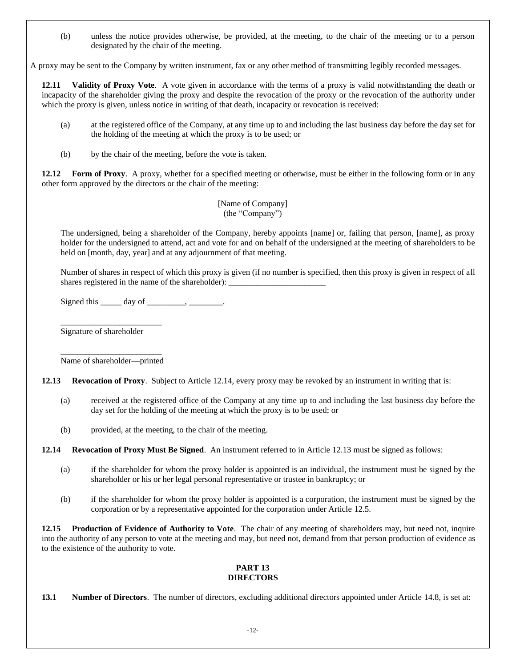(b) unless the notice provides otherwise, be provided, at the meeting, to the chair of the meeting or to a person designated by the chair of the meeting.

A proxy may be sent to the Company by written instrument, fax or any other method of transmitting legibly recorded messages.

**12.11 Validity of Proxy Vote**. A vote given in accordance with the terms of a proxy is valid notwithstanding the death or incapacity of the shareholder giving the proxy and despite the revocation of the proxy or the revocation of the authority under which the proxy is given, unless notice in writing of that death, incapacity or revocation is received:

- (a) at the registered office of the Company, at any time up to and including the last business day before the day set for the holding of the meeting at which the proxy is to be used; or
- (b) by the chair of the meeting, before the vote is taken.

**12.12 Form of Proxy**. A proxy, whether for a specified meeting or otherwise, must be either in the following form or in any other form approved by the directors or the chair of the meeting:

> [Name of Company] (the "Company")

The undersigned, being a shareholder of the Company, hereby appoints [name] or, failing that person, [name], as proxy holder for the undersigned to attend, act and vote for and on behalf of the undersigned at the meeting of shareholders to be held on [month, day, year] and at any adjournment of that meeting.

Number of shares in respect of which this proxy is given (if no number is specified, then this proxy is given in respect of all shares registered in the name of the shareholder):  $\_\_$ 

Signed this  $\_\_\_\_\_\_\$  day of  $\_\_\_\_\_\_\_\$ .

Signature of shareholder

\_\_\_\_\_\_\_\_\_\_\_\_\_\_\_\_\_\_\_\_\_\_\_\_ Name of shareholder—printed

\_\_\_\_\_\_\_\_\_\_\_\_\_\_\_\_\_\_\_\_\_\_\_\_

<span id="page-17-2"></span>**12.13 Revocation of Proxy**. Subject to Articl[e 12.14,](#page-17-1) every proxy may be revoked by an instrument in writing that is:

- (a) received at the registered office of the Company at any time up to and including the last business day before the day set for the holding of the meeting at which the proxy is to be used; or
- (b) provided, at the meeting, to the chair of the meeting.

<span id="page-17-1"></span>**12.14 Revocation of Proxy Must Be Signed**. An instrument referred to in Article [12.13](#page-17-2) must be signed as follows:

- (a) if the shareholder for whom the proxy holder is appointed is an individual, the instrument must be signed by the shareholder or his or her legal personal representative or trustee in bankruptcy; or
- (b) if the shareholder for whom the proxy holder is appointed is a corporation, the instrument must be signed by the corporation or by a representative appointed for the corporation under Article [12.5.](#page-16-0)

<span id="page-17-0"></span>**12.15 Production of Evidence of Authority to Vote**. The chair of any meeting of shareholders may, but need not, inquire into the authority of any person to vote at the meeting and may, but need not, demand from that person production of evidence as to the existence of the authority to vote.

#### **PART 13 DIRECTORS**

<span id="page-17-3"></span>**13.1 Number of Directors**. The number of directors, excluding additional directors appointed under Article [14.8,](#page-19-0) is set at: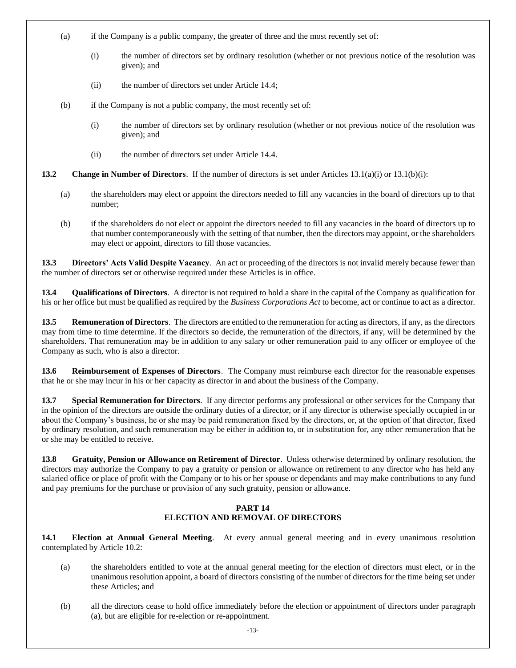- <span id="page-18-0"></span>(a) if the Company is a public company, the greater of three and the most recently set of:
	- (i) the number of directors set by ordinary resolution (whether or not previous notice of the resolution was given); and
	- (ii) the number of directors set under Article [14.4;](#page-19-1)
- <span id="page-18-1"></span>(b) if the Company is not a public company, the most recently set of:
	- (i) the number of directors set by ordinary resolution (whether or not previous notice of the resolution was given); and
	- (ii) the number of directors set under Article [14.4.](#page-19-1)

<span id="page-18-2"></span>**13.2 Change in Number of Directors**. If the number of directors is set under Article[s 13.1\(a\)\(i\)](#page-18-0) or [13.1\(b\)\(i\):](#page-18-1)

- (a) the shareholders may elect or appoint the directors needed to fill any vacancies in the board of directors up to that number;
- (b) if the shareholders do not elect or appoint the directors needed to fill any vacancies in the board of directors up to that number contemporaneously with the setting of that number, then the directors may appoint, or the shareholders may elect or appoint, directors to fill those vacancies.

**13.3 Directors' Acts Valid Despite Vacancy**. An act or proceeding of the directors is not invalid merely because fewer than the number of directors set or otherwise required under these Articles is in office.

**13.4 Qualifications of Directors**. A director is not required to hold a share in the capital of the Company as qualification for his or her office but must be qualified as required by the *Business Corporations Act* to become, act or continue to act as a director.

**13.5 Remuneration of Directors**. The directors are entitled to the remuneration for acting as directors, if any, as the directors may from time to time determine. If the directors so decide, the remuneration of the directors, if any, will be determined by the shareholders. That remuneration may be in addition to any salary or other remuneration paid to any officer or employee of the Company as such, who is also a director.

**13.6 Reimbursement of Expenses of Directors**. The Company must reimburse each director for the reasonable expenses that he or she may incur in his or her capacity as director in and about the business of the Company.

**13.7 Special Remuneration for Directors**. If any director performs any professional or other services for the Company that in the opinion of the directors are outside the ordinary duties of a director, or if any director is otherwise specially occupied in or about the Company's business, he or she may be paid remuneration fixed by the directors, or, at the option of that director, fixed by ordinary resolution, and such remuneration may be either in addition to, or in substitution for, any other remuneration that he or she may be entitled to receive.

**13.8 Gratuity, Pension or Allowance on Retirement of Director**. Unless otherwise determined by ordinary resolution, the directors may authorize the Company to pay a gratuity or pension or allowance on retirement to any director who has held any salaried office or place of profit with the Company or to his or her spouse or dependants and may make contributions to any fund and pay premiums for the purchase or provision of any such gratuity, pension or allowance.

#### **PART 14 ELECTION AND REMOVAL OF DIRECTORS**

<span id="page-18-3"></span>**14.1 Election at Annual General Meeting**. At every annual general meeting and in every unanimous resolution contemplated by Articl[e 10.2:](#page-12-0)

- (a) the shareholders entitled to vote at the annual general meeting for the election of directors must elect, or in the unanimous resolution appoint, a board of directors consisting of the number of directors for the time being set under these Articles; and
- (b) all the directors cease to hold office immediately before the election or appointment of directors under paragraph (a), but are eligible for re-election or re-appointment.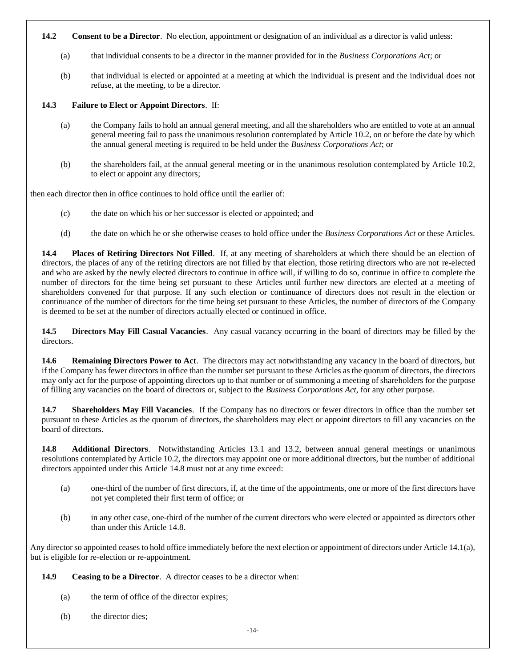#### **14.2 Consent to be a Director**. No election, appointment or designation of an individual as a director is valid unless:

- (a) that individual consents to be a director in the manner provided for in the *Business Corporations Act*; or
- (b) that individual is elected or appointed at a meeting at which the individual is present and the individual does not refuse, at the meeting, to be a director.

#### **14.3 Failure to Elect or Appoint Directors**. If:

- (a) the Company fails to hold an annual general meeting, and all the shareholders who are entitled to vote at an annual general meeting fail to pass the unanimous resolution contemplated by Article [10.2,](#page-12-0) on or before the date by which the annual general meeting is required to be held under the *Business Corporations Act*; or
- (b) the shareholders fail, at the annual general meeting or in the unanimous resolution contemplated by Article [10.2,](#page-12-0) to elect or appoint any directors;

then each director then in office continues to hold office until the earlier of:

- (c) the date on which his or her successor is elected or appointed; and
- (d) the date on which he or she otherwise ceases to hold office under the *Business Corporations Act* or these Articles.

<span id="page-19-1"></span>**14.4 Places of Retiring Directors Not Filled**. If, at any meeting of shareholders at which there should be an election of directors, the places of any of the retiring directors are not filled by that election, those retiring directors who are not re-elected and who are asked by the newly elected directors to continue in office will, if willing to do so, continue in office to complete the number of directors for the time being set pursuant to these Articles until further new directors are elected at a meeting of shareholders convened for that purpose. If any such election or continuance of directors does not result in the election or continuance of the number of directors for the time being set pursuant to these Articles, the number of directors of the Company is deemed to be set at the number of directors actually elected or continued in office.

**14.5 Directors May Fill Casual Vacancies**. Any casual vacancy occurring in the board of directors may be filled by the directors.

**14.6 Remaining Directors Power to Act**. The directors may act notwithstanding any vacancy in the board of directors, but if the Company has fewer directors in office than the number set pursuant to these Articles as the quorum of directors, the directors may only act for the purpose of appointing directors up to that number or of summoning a meeting of shareholders for the purpose of filling any vacancies on the board of directors or, subject to the *Business Corporations Act*, for any other purpose.

**14.7 Shareholders May Fill Vacancies**. If the Company has no directors or fewer directors in office than the number set pursuant to these Articles as the quorum of directors, the shareholders may elect or appoint directors to fill any vacancies on the board of directors.

<span id="page-19-0"></span>**14.8 Additional Directors**. Notwithstanding Articles [13.1](#page-17-3) and [13.2,](#page-18-2) between annual general meetings or unanimous resolutions contemplated by Article [10.2,](#page-12-0) the directors may appoint one or more additional directors, but the number of additional directors appointed under this Article [14.8](#page-19-0) must not at any time exceed:

- (a) one-third of the number of first directors, if, at the time of the appointments, one or more of the first directors have not yet completed their first term of office; or
- (b) in any other case, one-third of the number of the current directors who were elected or appointed as directors other than under this Article [14.8.](#page-19-0)

Any director so appointed ceases to hold office immediately before the next election or appointment of directors under Articl[e 14.1\(a\),](#page-18-3) but is eligible for re-election or re-appointment.

**14.9 Ceasing to be a Director**. A director ceases to be a director when:

- (a) the term of office of the director expires;
- (b) the director dies;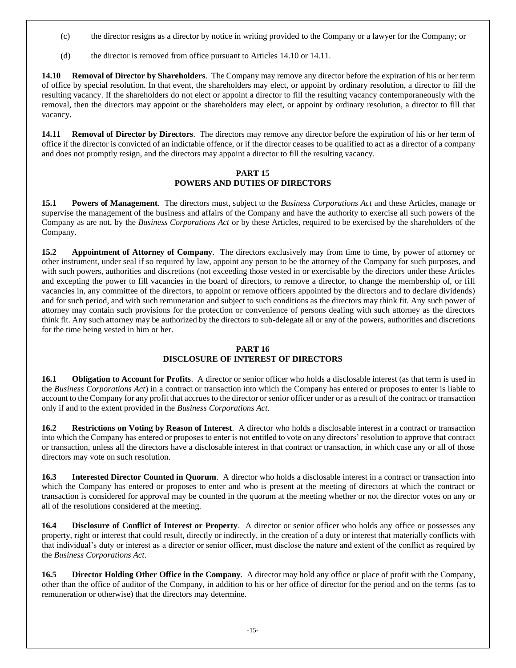- (c) the director resigns as a director by notice in writing provided to the Company or a lawyer for the Company; or
- (d) the director is removed from office pursuant to Articles [14.10](#page-20-0) or [14.11.](#page-20-1)

<span id="page-20-0"></span>**14.10 Removal of Director by Shareholders**. The Company may remove any director before the expiration of his or her term of office by special resolution. In that event, the shareholders may elect, or appoint by ordinary resolution, a director to fill the resulting vacancy. If the shareholders do not elect or appoint a director to fill the resulting vacancy contemporaneously with the removal, then the directors may appoint or the shareholders may elect, or appoint by ordinary resolution, a director to fill that vacancy.

<span id="page-20-1"></span>**14.11 Removal of Director by Directors**. The directors may remove any director before the expiration of his or her term of office if the director is convicted of an indictable offence, or if the director ceases to be qualified to act as a director of a company and does not promptly resign, and the directors may appoint a director to fill the resulting vacancy.

#### **PART 15 POWERS AND DUTIES OF DIRECTORS**

**15.1 Powers of Management**. The directors must, subject to the *Business Corporations Act* and these Articles, manage or supervise the management of the business and affairs of the Company and have the authority to exercise all such powers of the Company as are not, by the *Business Corporations Act* or by these Articles, required to be exercised by the shareholders of the Company.

**15.2 Appointment of Attorney of Company**. The directors exclusively may from time to time, by power of attorney or other instrument, under seal if so required by law, appoint any person to be the attorney of the Company for such purposes, and with such powers, authorities and discretions (not exceeding those vested in or exercisable by the directors under these Articles and excepting the power to fill vacancies in the board of directors, to remove a director, to change the membership of, or fill vacancies in, any committee of the directors, to appoint or remove officers appointed by the directors and to declare dividends) and for such period, and with such remuneration and subject to such conditions as the directors may think fit. Any such power of attorney may contain such provisions for the protection or convenience of persons dealing with such attorney as the directors think fit. Any such attorney may be authorized by the directors to sub-delegate all or any of the powers, authorities and discretions for the time being vested in him or her.

#### **PART 16 DISCLOSURE OF INTEREST OF DIRECTORS**

**16.1 Obligation to Account for Profits**. A director or senior officer who holds a disclosable interest (as that term is used in the *Business Corporations Act*) in a contract or transaction into which the Company has entered or proposes to enter is liable to account to the Company for any profit that accrues to the director or senior officer under or as a result of the contract or transaction only if and to the extent provided in the *Business Corporations Act*.

**16.2 Restrictions on Voting by Reason of Interest**. A director who holds a disclosable interest in a contract or transaction into which the Company has entered or proposes to enter is not entitled to vote on any directors' resolution to approve that contract or transaction, unless all the directors have a disclosable interest in that contract or transaction, in which case any or all of those directors may vote on such resolution.

**16.3 Interested Director Counted in Quorum**. A director who holds a disclosable interest in a contract or transaction into which the Company has entered or proposes to enter and who is present at the meeting of directors at which the contract or transaction is considered for approval may be counted in the quorum at the meeting whether or not the director votes on any or all of the resolutions considered at the meeting.

**16.4 Disclosure of Conflict of Interest or Property**. A director or senior officer who holds any office or possesses any property, right or interest that could result, directly or indirectly, in the creation of a duty or interest that materially conflicts with that individual's duty or interest as a director or senior officer, must disclose the nature and extent of the conflict as required by the *Business Corporations Act*.

**16.5 Director Holding Other Office in the Company**. A director may hold any office or place of profit with the Company, other than the office of auditor of the Company, in addition to his or her office of director for the period and on the terms (as to remuneration or otherwise) that the directors may determine.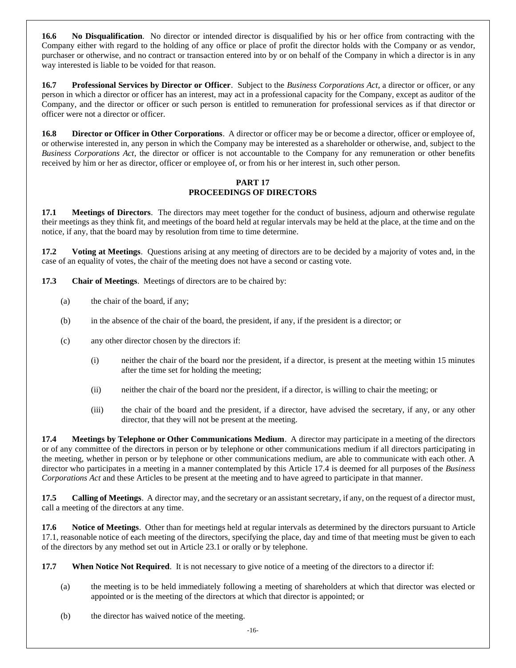**16.6 No Disqualification**. No director or intended director is disqualified by his or her office from contracting with the Company either with regard to the holding of any office or place of profit the director holds with the Company or as vendor, purchaser or otherwise, and no contract or transaction entered into by or on behalf of the Company in which a director is in any way interested is liable to be voided for that reason.

**16.7 Professional Services by Director or Officer**. Subject to the *Business Corporations Act*, a director or officer, or any person in which a director or officer has an interest, may act in a professional capacity for the Company, except as auditor of the Company, and the director or officer or such person is entitled to remuneration for professional services as if that director or officer were not a director or officer.

**16.8 Director or Officer in Other Corporations**. A director or officer may be or become a director, officer or employee of, or otherwise interested in, any person in which the Company may be interested as a shareholder or otherwise, and, subject to the *Business Corporations Act*, the director or officer is not accountable to the Company for any remuneration or other benefits received by him or her as director, officer or employee of, or from his or her interest in, such other person.

#### **PART 17 PROCEEDINGS OF DIRECTORS**

<span id="page-21-1"></span>**17.1 Meetings of Directors**. The directors may meet together for the conduct of business, adjourn and otherwise regulate their meetings as they think fit, and meetings of the board held at regular intervals may be held at the place, at the time and on the notice, if any, that the board may by resolution from time to time determine.

**17.2 Voting at Meetings**. Questions arising at any meeting of directors are to be decided by a majority of votes and, in the case of an equality of votes, the chair of the meeting does not have a second or casting vote.

**17.3 Chair of Meetings**. Meetings of directors are to be chaired by:

- (a) the chair of the board, if any;
- (b) in the absence of the chair of the board, the president, if any, if the president is a director; or
- (c) any other director chosen by the directors if:
	- (i) neither the chair of the board nor the president, if a director, is present at the meeting within 15 minutes after the time set for holding the meeting;
	- (ii) neither the chair of the board nor the president, if a director, is willing to chair the meeting; or
	- (iii) the chair of the board and the president, if a director, have advised the secretary, if any, or any other director, that they will not be present at the meeting.

<span id="page-21-0"></span>**17.4 Meetings by Telephone or Other Communications Medium**. A director may participate in a meeting of the directors or of any committee of the directors in person or by telephone or other communications medium if all directors participating in the meeting, whether in person or by telephone or other communications medium, are able to communicate with each other. A director who participates in a meeting in a manner contemplated by this Article [17.4](#page-21-0) is deemed for all purposes of the *Business Corporations Act* and these Articles to be present at the meeting and to have agreed to participate in that manner.

**17.5 Calling of Meetings**. A director may, and the secretary or an assistant secretary, if any, on the request of a director must, call a meeting of the directors at any time.

**17.6 Notice of Meetings**. Other than for meetings held at regular intervals as determined by the directors pursuant to Article [17.1,](#page-21-1) reasonable notice of each meeting of the directors, specifying the place, day and time of that meeting must be given to each of the directors by any method set out in Article [23.1](#page-25-0) or orally or by telephone.

**17.7 When Notice Not Required**. It is not necessary to give notice of a meeting of the directors to a director if:

- (a) the meeting is to be held immediately following a meeting of shareholders at which that director was elected or appointed or is the meeting of the directors at which that director is appointed; or
- (b) the director has waived notice of the meeting.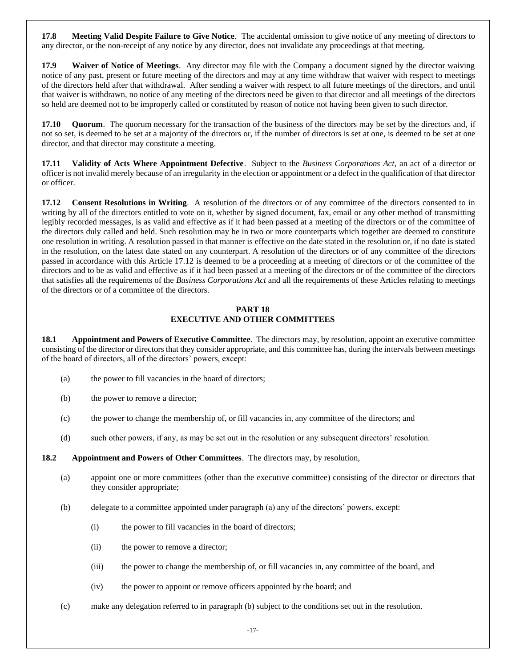**17.8 Meeting Valid Despite Failure to Give Notice**. The accidental omission to give notice of any meeting of directors to any director, or the non-receipt of any notice by any director, does not invalidate any proceedings at that meeting.

**17.9 Waiver of Notice of Meetings**. Any director may file with the Company a document signed by the director waiving notice of any past, present or future meeting of the directors and may at any time withdraw that waiver with respect to meetings of the directors held after that withdrawal. After sending a waiver with respect to all future meetings of the directors, and until that waiver is withdrawn, no notice of any meeting of the directors need be given to that director and all meetings of the directors so held are deemed not to be improperly called or constituted by reason of notice not having been given to such director.

**17.10 Quorum**. The quorum necessary for the transaction of the business of the directors may be set by the directors and, if not so set, is deemed to be set at a majority of the directors or, if the number of directors is set at one, is deemed to be set at one director, and that director may constitute a meeting.

**17.11 Validity of Acts Where Appointment Defective**. Subject to the *Business Corporations Act*, an act of a director or officer is not invalid merely because of an irregularity in the election or appointment or a defect in the qualification of that director or officer.

<span id="page-22-0"></span>**17.12 Consent Resolutions in Writing**. A resolution of the directors or of any committee of the directors consented to in writing by all of the directors entitled to vote on it, whether by signed document, fax, email or any other method of transmitting legibly recorded messages, is as valid and effective as if it had been passed at a meeting of the directors or of the committee of the directors duly called and held. Such resolution may be in two or more counterparts which together are deemed to constitute one resolution in writing. A resolution passed in that manner is effective on the date stated in the resolution or, if no date is stated in the resolution, on the latest date stated on any counterpart. A resolution of the directors or of any committee of the directors passed in accordance with this Article [17.12](#page-22-0) is deemed to be a proceeding at a meeting of directors or of the committee of the directors and to be as valid and effective as if it had been passed at a meeting of the directors or of the committee of the directors that satisfies all the requirements of the *Business Corporations Act* and all the requirements of these Articles relating to meetings of the directors or of a committee of the directors.

#### **PART 18 EXECUTIVE AND OTHER COMMITTEES**

<span id="page-22-1"></span>**18.1 Appointment and Powers of Executive Committee**. The directors may, by resolution, appoint an executive committee consisting of the director or directors that they consider appropriate, and this committee has, during the intervals between meetings of the board of directors, all of the directors' powers, except:

- (a) the power to fill vacancies in the board of directors;
- (b) the power to remove a director;
- (c) the power to change the membership of, or fill vacancies in, any committee of the directors; and
- (d) such other powers, if any, as may be set out in the resolution or any subsequent directors' resolution.

<span id="page-22-2"></span>**18.2 Appointment and Powers of Other Committees**. The directors may, by resolution,

- (a) appoint one or more committees (other than the executive committee) consisting of the director or directors that they consider appropriate;
- (b) delegate to a committee appointed under paragraph (a) any of the directors' powers, except:
	- (i) the power to fill vacancies in the board of directors;
	- (ii) the power to remove a director;
	- (iii) the power to change the membership of, or fill vacancies in, any committee of the board, and
	- (iv) the power to appoint or remove officers appointed by the board; and
- (c) make any delegation referred to in paragraph (b) subject to the conditions set out in the resolution.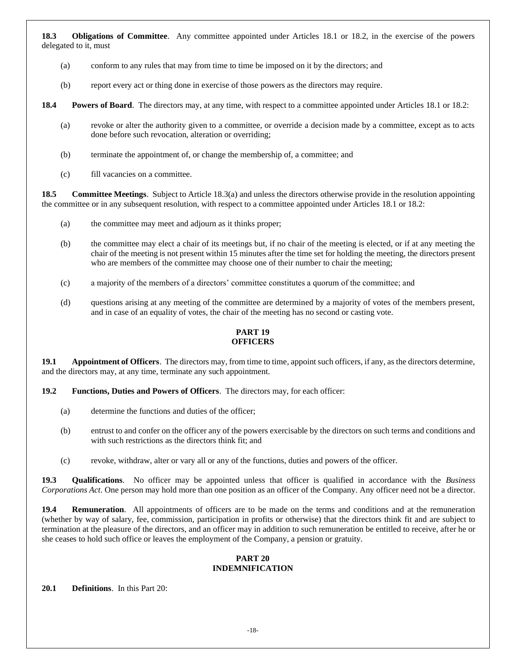<span id="page-23-0"></span>**18.3 Obligations of Committee**. Any committee appointed under Articles [18.1](#page-22-1) or [18.2,](#page-22-2) in the exercise of the powers delegated to it, must

- (a) conform to any rules that may from time to time be imposed on it by the directors; and
- (b) report every act or thing done in exercise of those powers as the directors may require.

**18.4 Powers of Board**. The directors may, at any time, with respect to a committee appointed under Articles [18.1](#page-22-1) o[r 18.2:](#page-22-2)

- (a) revoke or alter the authority given to a committee, or override a decision made by a committee, except as to acts done before such revocation, alteration or overriding;
- (b) terminate the appointment of, or change the membership of, a committee; and
- (c) fill vacancies on a committee.

**18.5 Committee Meetings**. Subject to Articl[e 18.3\(a\)](#page-23-0) and unless the directors otherwise provide in the resolution appointing the committee or in any subsequent resolution, with respect to a committee appointed under Articles [18.1](#page-22-1) or [18.2:](#page-22-2)

- (a) the committee may meet and adjourn as it thinks proper;
- (b) the committee may elect a chair of its meetings but, if no chair of the meeting is elected, or if at any meeting the chair of the meeting is not present within 15 minutes after the time set for holding the meeting, the directors present who are members of the committee may choose one of their number to chair the meeting;
- (c) a majority of the members of a directors' committee constitutes a quorum of the committee; and
- (d) questions arising at any meeting of the committee are determined by a majority of votes of the members present, and in case of an equality of votes, the chair of the meeting has no second or casting vote.

#### **PART 19 OFFICERS**

**19.1 Appointment of Officers**. The directors may, from time to time, appoint such officers, if any, as the directors determine, and the directors may, at any time, terminate any such appointment.

- **19.2 Functions, Duties and Powers of Officers**. The directors may, for each officer:
	- (a) determine the functions and duties of the officer;
	- (b) entrust to and confer on the officer any of the powers exercisable by the directors on such terms and conditions and with such restrictions as the directors think fit; and
	- (c) revoke, withdraw, alter or vary all or any of the functions, duties and powers of the officer.

**19.3 Qualifications**. No officer may be appointed unless that officer is qualified in accordance with the *Business Corporations Act*. One person may hold more than one position as an officer of the Company. Any officer need not be a director.

**19.4 Remuneration**. All appointments of officers are to be made on the terms and conditions and at the remuneration (whether by way of salary, fee, commission, participation in profits or otherwise) that the directors think fit and are subject to termination at the pleasure of the directors, and an officer may in addition to such remuneration be entitled to receive, after he or she ceases to hold such office or leaves the employment of the Company, a pension or gratuity.

#### **PART 20 INDEMNIFICATION**

**20.1 Definitions**. In this Part 20: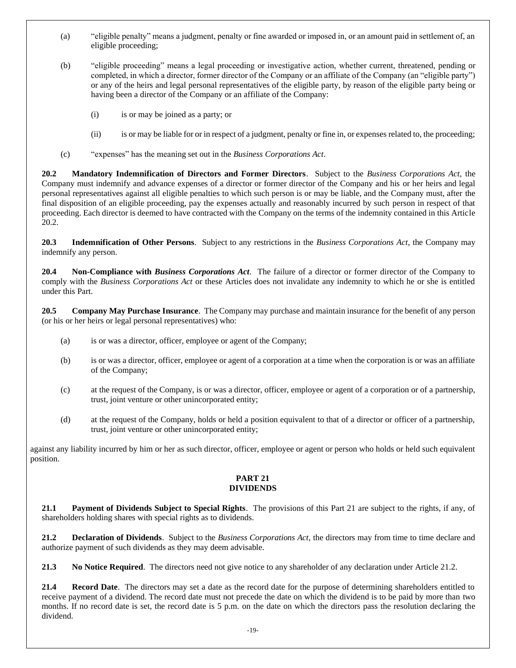- (a) "eligible penalty" means a judgment, penalty or fine awarded or imposed in, or an amount paid in settlement of, an eligible proceeding;
- (b) "eligible proceeding" means a legal proceeding or investigative action, whether current, threatened, pending or completed, in which a director, former director of the Company or an affiliate of the Company (an "eligible party") or any of the heirs and legal personal representatives of the eligible party, by reason of the eligible party being or having been a director of the Company or an affiliate of the Company:
	- (i) is or may be joined as a party; or
	- (ii) is or may be liable for or in respect of a judgment, penalty or fine in, or expenses related to, the proceeding;
- (c) "expenses" has the meaning set out in the *Business Corporations Act*.

<span id="page-24-0"></span>**20.2 Mandatory Indemnification of Directors and Former Directors**. Subject to the *Business Corporations Act*, the Company must indemnify and advance expenses of a director or former director of the Company and his or her heirs and legal personal representatives against all eligible penalties to which such person is or may be liable, and the Company must, after the final disposition of an eligible proceeding, pay the expenses actually and reasonably incurred by such person in respect of that proceeding. Each director is deemed to have contracted with the Company on the terms of the indemnity contained in this Article [20.2.](#page-24-0)

**20.3 Indemnification of Other Persons**. Subject to any restrictions in the *Business Corporations Act*, the Company may indemnify any person.

**20.4 Non-Compliance with** *Business Corporations Act*. The failure of a director or former director of the Company to comply with the *Business Corporations Act* or these Articles does not invalidate any indemnity to which he or she is entitled under this Part.

**20.5 Company May Purchase Insurance**. The Company may purchase and maintain insurance for the benefit of any person (or his or her heirs or legal personal representatives) who:

- (a) is or was a director, officer, employee or agent of the Company;
- (b) is or was a director, officer, employee or agent of a corporation at a time when the corporation is or was an affiliate of the Company;
- (c) at the request of the Company, is or was a director, officer, employee or agent of a corporation or of a partnership, trust, joint venture or other unincorporated entity;
- (d) at the request of the Company, holds or held a position equivalent to that of a director or officer of a partnership, trust, joint venture or other unincorporated entity;

<span id="page-24-1"></span>against any liability incurred by him or her as such director, officer, employee or agent or person who holds or held such equivalent position.

#### **PART 21 DIVIDENDS**

**21.1 Payment of Dividends Subject to Special Rights**. The provisions of this [Part 21](#page-24-1) are subject to the rights, if any, of shareholders holding shares with special rights as to dividends.

<span id="page-24-2"></span>**21.2 Declaration of Dividends**. Subject to the *Business Corporations Act*, the directors may from time to time declare and authorize payment of such dividends as they may deem advisable.

**21.3 No Notice Required**. The directors need not give notice to any shareholder of any declaration under Article [21.2.](#page-24-2)

**21.4 Record Date**. The directors may set a date as the record date for the purpose of determining shareholders entitled to receive payment of a dividend. The record date must not precede the date on which the dividend is to be paid by more than two months. If no record date is set, the record date is 5 p.m. on the date on which the directors pass the resolution declaring the dividend.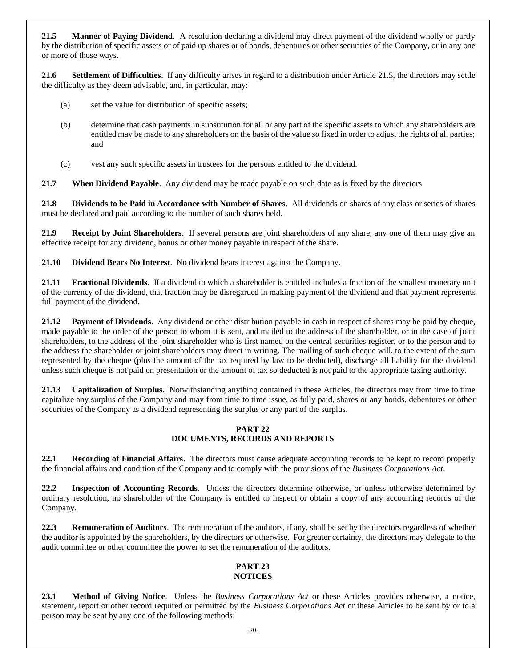<span id="page-25-1"></span>**21.5 Manner of Paying Dividend**. A resolution declaring a dividend may direct payment of the dividend wholly or partly by the distribution of specific assets or of paid up shares or of bonds, debentures or other securities of the Company, or in any one or more of those ways.

**21.6 Settlement of Difficulties**. If any difficulty arises in regard to a distribution under Articl[e 21.5,](#page-25-1) the directors may settle the difficulty as they deem advisable, and, in particular, may:

- (a) set the value for distribution of specific assets;
- (b) determine that cash payments in substitution for all or any part of the specific assets to which any shareholders are entitled may be made to any shareholders on the basis of the value so fixed in order to adjust the rights of all parties; and
- (c) vest any such specific assets in trustees for the persons entitled to the dividend.

**21.7 When Dividend Payable**. Any dividend may be made payable on such date as is fixed by the directors.

**21.8 Dividends to be Paid in Accordance with Number of Shares**. All dividends on shares of any class or series of shares must be declared and paid according to the number of such shares held.

**21.9 Receipt by Joint Shareholders**. If several persons are joint shareholders of any share, any one of them may give an effective receipt for any dividend, bonus or other money payable in respect of the share.

**21.10 Dividend Bears No Interest**. No dividend bears interest against the Company.

**21.11 Fractional Dividends**. If a dividend to which a shareholder is entitled includes a fraction of the smallest monetary unit of the currency of the dividend, that fraction may be disregarded in making payment of the dividend and that payment represents full payment of the dividend.

**21.12 Payment of Dividends**. Any dividend or other distribution payable in cash in respect of shares may be paid by cheque, made payable to the order of the person to whom it is sent, and mailed to the address of the shareholder, or in the case of joint shareholders, to the address of the joint shareholder who is first named on the central securities register, or to the person and to the address the shareholder or joint shareholders may direct in writing. The mailing of such cheque will, to the extent of the sum represented by the cheque (plus the amount of the tax required by law to be deducted), discharge all liability for the dividend unless such cheque is not paid on presentation or the amount of tax so deducted is not paid to the appropriate taxing authority.

**21.13 Capitalization of Surplus**. Notwithstanding anything contained in these Articles, the directors may from time to time capitalize any surplus of the Company and may from time to time issue, as fully paid, shares or any bonds, debentures or other securities of the Company as a dividend representing the surplus or any part of the surplus.

#### **PART 22 DOCUMENTS, RECORDS AND REPORTS**

**22.1 Recording of Financial Affairs**. The directors must cause adequate accounting records to be kept to record properly the financial affairs and condition of the Company and to comply with the provisions of the *Business Corporations Act*.

**22.2 Inspection of Accounting Records**. Unless the directors determine otherwise, or unless otherwise determined by ordinary resolution, no shareholder of the Company is entitled to inspect or obtain a copy of any accounting records of the Company.

**22.3 Remuneration of Auditors**. The remuneration of the auditors, if any, shall be set by the directors regardless of whether the auditor is appointed by the shareholders, by the directors or otherwise. For greater certainty, the directors may delegate to the audit committee or other committee the power to set the remuneration of the auditors.

#### **PART 23 NOTICES**

<span id="page-25-0"></span>**23.1 Method of Giving Notice**. Unless the *Business Corporations Act* or these Articles provides otherwise, a notice, statement, report or other record required or permitted by the *Business Corporations Act* or these Articles to be sent by or to a person may be sent by any one of the following methods: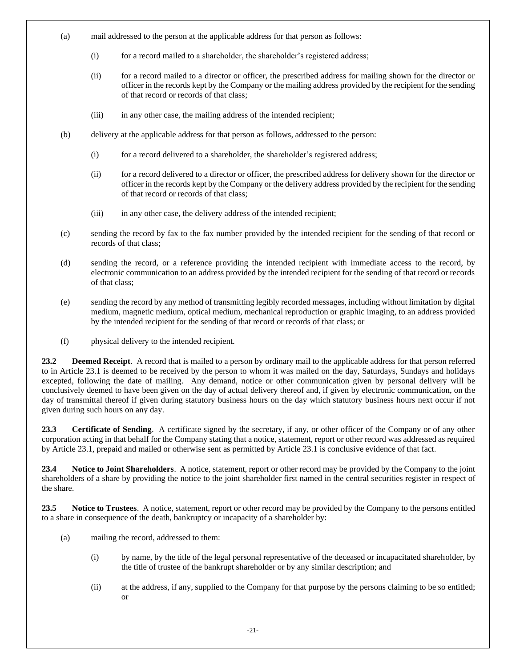- (a) mail addressed to the person at the applicable address for that person as follows:
	- (i) for a record mailed to a shareholder, the shareholder's registered address;
	- (ii) for a record mailed to a director or officer, the prescribed address for mailing shown for the director or officer in the records kept by the Company or the mailing address provided by the recipient for the sending of that record or records of that class;
	- (iii) in any other case, the mailing address of the intended recipient;
- (b) delivery at the applicable address for that person as follows, addressed to the person:
	- (i) for a record delivered to a shareholder, the shareholder's registered address;
	- (ii) for a record delivered to a director or officer, the prescribed address for delivery shown for the director or officer in the records kept by the Company or the delivery address provided by the recipient for the sending of that record or records of that class;
	- (iii) in any other case, the delivery address of the intended recipient;
- (c) sending the record by fax to the fax number provided by the intended recipient for the sending of that record or records of that class;
- (d) sending the record, or a reference providing the intended recipient with immediate access to the record, by electronic communication to an address provided by the intended recipient for the sending of that record or records of that class;
- (e) sending the record by any method of transmitting legibly recorded messages, including without limitation by digital medium, magnetic medium, optical medium, mechanical reproduction or graphic imaging, to an address provided by the intended recipient for the sending of that record or records of that class; or
- (f) physical delivery to the intended recipient.

**23.2 Deemed Receipt**. A record that is mailed to a person by ordinary mail to the applicable address for that person referred to in Article [23.1](#page-25-0) is deemed to be received by the person to whom it was mailed on the day, Saturdays, Sundays and holidays excepted, following the date of mailing. Any demand, notice or other communication given by personal delivery will be conclusively deemed to have been given on the day of actual delivery thereof and, if given by electronic communication, on the day of transmittal thereof if given during statutory business hours on the day which statutory business hours next occur if not given during such hours on any day.

**23.3 Certificate of Sending**. A certificate signed by the secretary, if any, or other officer of the Company or of any other corporation acting in that behalf for the Company stating that a notice, statement, report or other record was addressed as required by Article [23.1,](#page-25-0) prepaid and mailed or otherwise sent as permitted by Article [23.1](#page-25-0) is conclusive evidence of that fact.

**23.4 Notice to Joint Shareholders**. A notice, statement, report or other record may be provided by the Company to the joint shareholders of a share by providing the notice to the joint shareholder first named in the central securities register in respect of the share.

**23.5 Notice to Trustees**. A notice, statement, report or other record may be provided by the Company to the persons entitled to a share in consequence of the death, bankruptcy or incapacity of a shareholder by:

- (a) mailing the record, addressed to them:
	- (i) by name, by the title of the legal personal representative of the deceased or incapacitated shareholder, by the title of trustee of the bankrupt shareholder or by any similar description; and
	- (ii) at the address, if any, supplied to the Company for that purpose by the persons claiming to be so entitled; or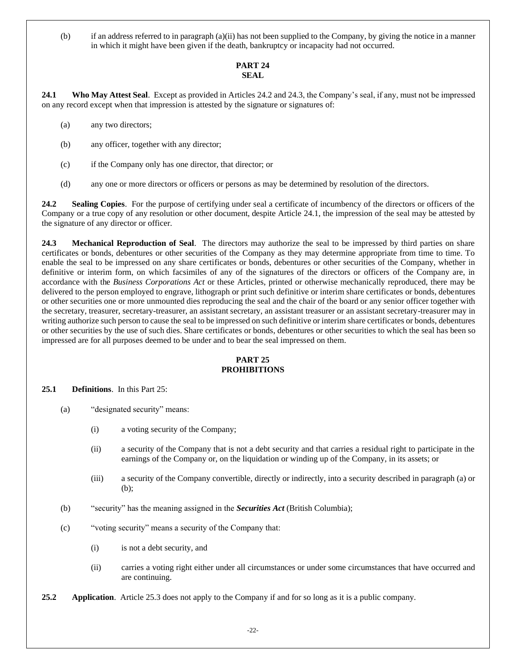(b) if an address referred to in paragraph (a)(ii) has not been supplied to the Company, by giving the notice in a manner in which it might have been given if the death, bankruptcy or incapacity had not occurred.

#### **PART 24 SEAL**

<span id="page-27-2"></span>**24.1 Who May Attest Seal**. Except as provided in Articles [24.2](#page-27-0) and [24.3,](#page-27-1) the Company's seal, if any, must not be impressed on any record except when that impression is attested by the signature or signatures of:

- (a) any two directors;
- (b) any officer, together with any director;
- (c) if the Company only has one director, that director; or
- (d) any one or more directors or officers or persons as may be determined by resolution of the directors.

<span id="page-27-0"></span>**24.2 Sealing Copies**. For the purpose of certifying under seal a certificate of incumbency of the directors or officers of the Company or a true copy of any resolution or other document, despite Article [24.1,](#page-27-2) the impression of the seal may be attested by the signature of any director or officer.

<span id="page-27-1"></span>**24.3 Mechanical Reproduction of Seal**. The directors may authorize the seal to be impressed by third parties on share certificates or bonds, debentures or other securities of the Company as they may determine appropriate from time to time. To enable the seal to be impressed on any share certificates or bonds, debentures or other securities of the Company, whether in definitive or interim form, on which facsimiles of any of the signatures of the directors or officers of the Company are, in accordance with the *Business Corporations Act* or these Articles, printed or otherwise mechanically reproduced, there may be delivered to the person employed to engrave, lithograph or print such definitive or interim share certificates or bonds, debentures or other securities one or more unmounted dies reproducing the seal and the chair of the board or any senior officer together with the secretary, treasurer, secretary-treasurer, an assistant secretary, an assistant treasurer or an assistant secretary-treasurer may in writing authorize such person to cause the seal to be impressed on such definitive or interim share certificates or bonds, debentures or other securities by the use of such dies. Share certificates or bonds, debentures or other securities to which the seal has been so impressed are for all purposes deemed to be under and to bear the seal impressed on them.

#### **PART 25 PROHIBITIONS**

<span id="page-27-3"></span>**25.1 Definitions**. In this [Part 25:](#page-27-3)

- (a) "designated security" means:
	- (i) a voting security of the Company;
	- (ii) a security of the Company that is not a debt security and that carries a residual right to participate in the earnings of the Company or, on the liquidation or winding up of the Company, in its assets; or
	- (iii) a security of the Company convertible, directly or indirectly, into a security described in paragraph (a) or (b);
- (b) "security" has the meaning assigned in the *Securities Act* (British Columbia);
- (c) "voting security" means a security of the Company that:
	- (i) is not a debt security, and
	- (ii) carries a voting right either under all circumstances or under some circumstances that have occurred and are continuing.
- **25.2 Application**. Article [25.3](#page-28-0) does not apply to the Company if and for so long as it is a public company.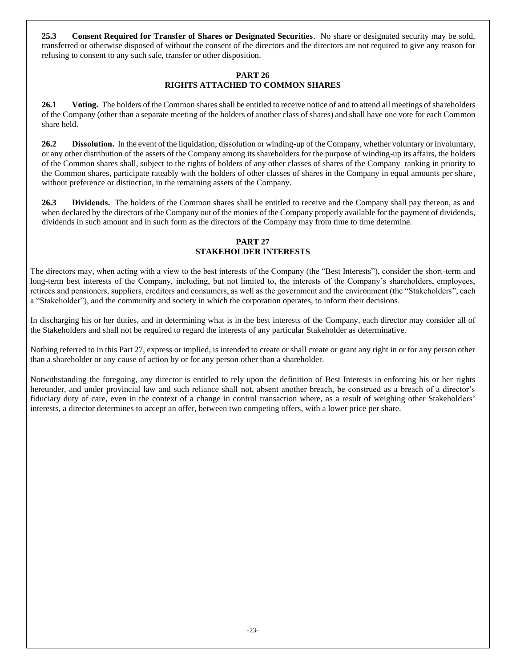<span id="page-28-0"></span>**25.3 Consent Required for Transfer of Shares or Designated Securities**. No share or designated security may be sold, transferred or otherwise disposed of without the consent of the directors and the directors are not required to give any reason for refusing to consent to any such sale, transfer or other disposition.

#### **PART 26 RIGHTS ATTACHED TO COMMON SHARES**

**26.1 Voting.** The holders of the Common shares shall be entitled to receive notice of and to attend all meetings of shareholders of the Company (other than a separate meeting of the holders of another class of shares) and shall have one vote for each Common share held.

**26.2 Dissolution.** In the event of the liquidation, dissolution or winding-up of the Company, whether voluntary or involuntary, or any other distribution of the assets of the Company among its shareholders for the purpose of winding-up its affairs, the holders of the Common shares shall, subject to the rights of holders of any other classes of shares of the Company ranking in priority to the Common shares, participate rateably with the holders of other classes of shares in the Company in equal amounts per share, without preference or distinction, in the remaining assets of the Company.

**26.3 Dividends.** The holders of the Common shares shall be entitled to receive and the Company shall pay thereon, as and when declared by the directors of the Company out of the monies of the Company properly available for the payment of dividends, dividends in such amount and in such form as the directors of the Company may from time to time determine.

#### **PART 27 STAKEHOLDER INTERESTS**

The directors may, when acting with a view to the best interests of the Company (the "Best Interests"), consider the short-term and long-term best interests of the Company, including, but not limited to, the interests of the Company's shareholders, employees, retirees and pensioners, suppliers, creditors and consumers, as well as the government and the environment (the "Stakeholders", each a "Stakeholder"), and the community and society in which the corporation operates, to inform their decisions.

In discharging his or her duties, and in determining what is in the best interests of the Company, each director may consider all of the Stakeholders and shall not be required to regard the interests of any particular Stakeholder as determinative.

Nothing referred to in this Part 27, express or implied, is intended to create or shall create or grant any right in or for any person other than a shareholder or any cause of action by or for any person other than a shareholder.

Notwithstanding the foregoing, any director is entitled to rely upon the definition of Best Interests in enforcing his or her rights hereunder, and under provincial law and such reliance shall not, absent another breach, be construed as a breach of a director's fiduciary duty of care, even in the context of a change in control transaction where, as a result of weighing other Stakeholders' interests, a director determines to accept an offer, between two competing offers, with a lower price per share.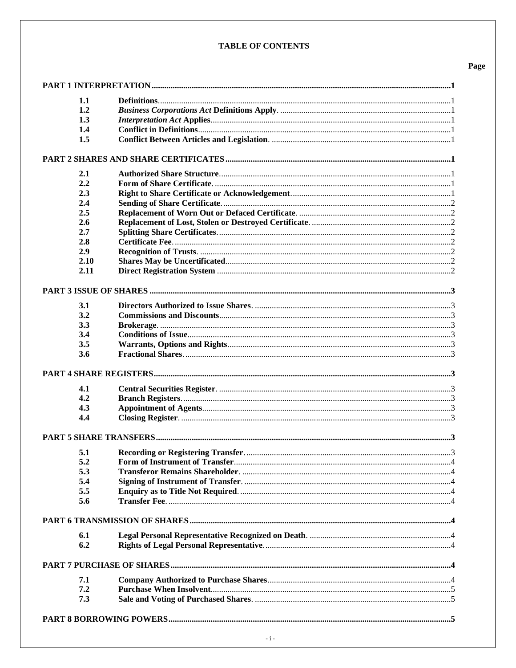#### **TABLE OF CONTENTS**

| 1.1  |  |
|------|--|
| 1.2  |  |
| 1.3  |  |
| 1.4  |  |
| 1.5  |  |
|      |  |
|      |  |
| 2.1  |  |
| 2.2  |  |
| 2.3  |  |
| 2.4  |  |
| 2.5  |  |
| 2.6  |  |
| 2.7  |  |
| 2.8  |  |
| 2.9  |  |
| 2.10 |  |
| 2.11 |  |
|      |  |
| 3.1  |  |
| 3.2  |  |
|      |  |
| 3.3  |  |
| 3.4  |  |
| 3.5  |  |
| 3.6  |  |
|      |  |
| 4.1  |  |
| 4.2  |  |
| 4.3  |  |
| 4.4  |  |
|      |  |
|      |  |
| 5.1  |  |
| 5.2  |  |
| 5.3  |  |
| 5.4  |  |
| 5.5  |  |
| 5.6  |  |
|      |  |
| 6.1  |  |
| 6.2  |  |
|      |  |
|      |  |
| 7.1  |  |
| 7.2  |  |
| 7.3  |  |
|      |  |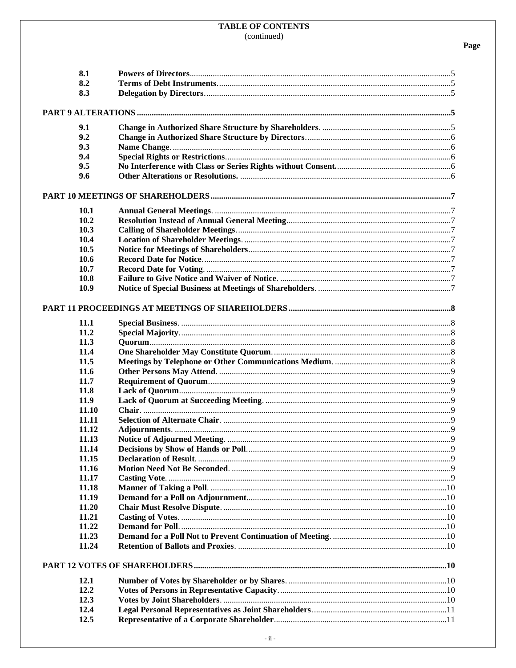| 8.1         |  |
|-------------|--|
| 8.2         |  |
| 8.3         |  |
|             |  |
| 9.1         |  |
| 9.2         |  |
| 9.3         |  |
| 9.4         |  |
| 9.5         |  |
| 9.6         |  |
|             |  |
| <b>10.1</b> |  |
| 10.2        |  |
| 10.3        |  |
| 10.4        |  |
| 10.5        |  |
| 10.6        |  |
| 10.7        |  |
| 10.8        |  |
| 10.9        |  |
|             |  |
| 11.1        |  |
| 11.2        |  |
| 11.3        |  |
| 11.4        |  |
| 11.5        |  |
| 11.6        |  |
| 11.7        |  |
| 11.8        |  |
| 11.9        |  |
| 11.10       |  |
| 11.11       |  |
| 11.12       |  |
| 11.13       |  |
| 11.14       |  |
| 11.15       |  |
| 11.16       |  |
| 11.17       |  |
| 11.18       |  |
| 11.19       |  |
| 11.20       |  |
| 11.21       |  |
| 11.22       |  |
| 11.23       |  |
| 11.24       |  |
|             |  |
| 12.1        |  |
| 12.2        |  |
| 12.3        |  |
| 12.4        |  |
| 12.5        |  |
|             |  |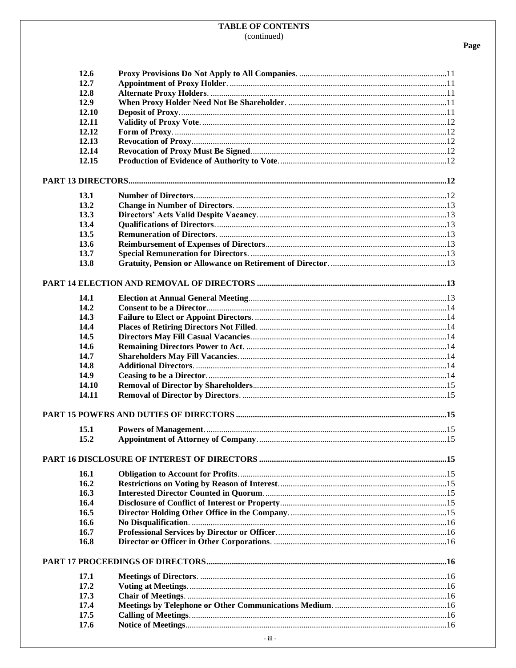| 12.6  |  |
|-------|--|
| 12.7  |  |
| 12.8  |  |
| 12.9  |  |
| 12.10 |  |
| 12.11 |  |
| 12.12 |  |
| 12.13 |  |
| 12.14 |  |
| 12.15 |  |
|       |  |
|       |  |
| 13.1  |  |
| 13.2  |  |
| 13.3  |  |
| 13.4  |  |
| 13.5  |  |
| 13.6  |  |
| 13.7  |  |
|       |  |
| 13.8  |  |
|       |  |
|       |  |
| 14.1  |  |
| 14.2  |  |
| 14.3  |  |
| 14.4  |  |
| 14.5  |  |
| 14.6  |  |
| 14.7  |  |
| 14.8  |  |
| 14.9  |  |
| 14.10 |  |
| 14.11 |  |
|       |  |
| 15.1  |  |
| 15.2  |  |
|       |  |
|       |  |
| 16.1  |  |
| 16.2  |  |
| 16.3  |  |
| 16.4  |  |
| 16.5  |  |
| 16.6  |  |
| 16.7  |  |
| 16.8  |  |
|       |  |
|       |  |
| 17.1  |  |
| 17.2  |  |
| 17.3  |  |
| 17.4  |  |
| 17.5  |  |
| 17.6  |  |
|       |  |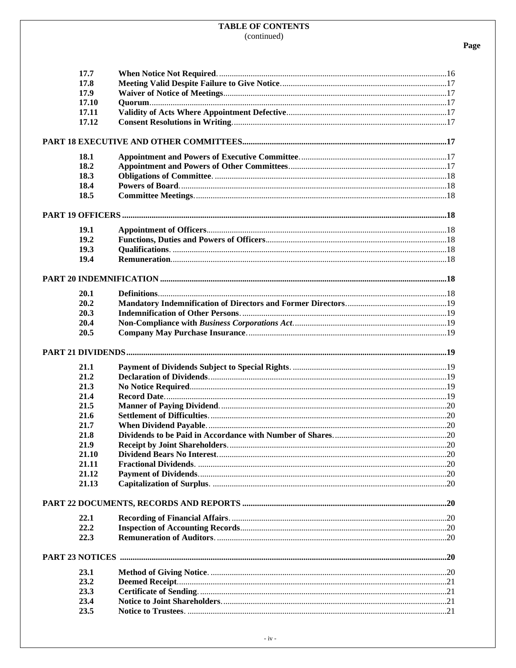| 17.7         |  |
|--------------|--|
| 17.8         |  |
| 17.9         |  |
| 17.10        |  |
| 17.11        |  |
| 17.12        |  |
|              |  |
|              |  |
| 18.1         |  |
| 18.2         |  |
| 18.3         |  |
| 18.4         |  |
| 18.5         |  |
|              |  |
|              |  |
| 19.1         |  |
| 19.2         |  |
| 19.3         |  |
| 19.4         |  |
|              |  |
|              |  |
| 20.1         |  |
| 20.2         |  |
| 20.3         |  |
| 20.4         |  |
| 20.5         |  |
|              |  |
| 21.1         |  |
| 21.2         |  |
|              |  |
| 21.3<br>21.4 |  |
| 21.5         |  |
| 21.6         |  |
| 21.7         |  |
| 21.8         |  |
| 21.9         |  |
| 21.10        |  |
| 21.11        |  |
| 21.12        |  |
| 21.13        |  |
|              |  |
|              |  |
| 22.1         |  |
| 22.2         |  |
| 22.3         |  |
|              |  |
|              |  |
| 23.1         |  |
| 23.2         |  |
| 23.3         |  |
| 23.4<br>23.5 |  |